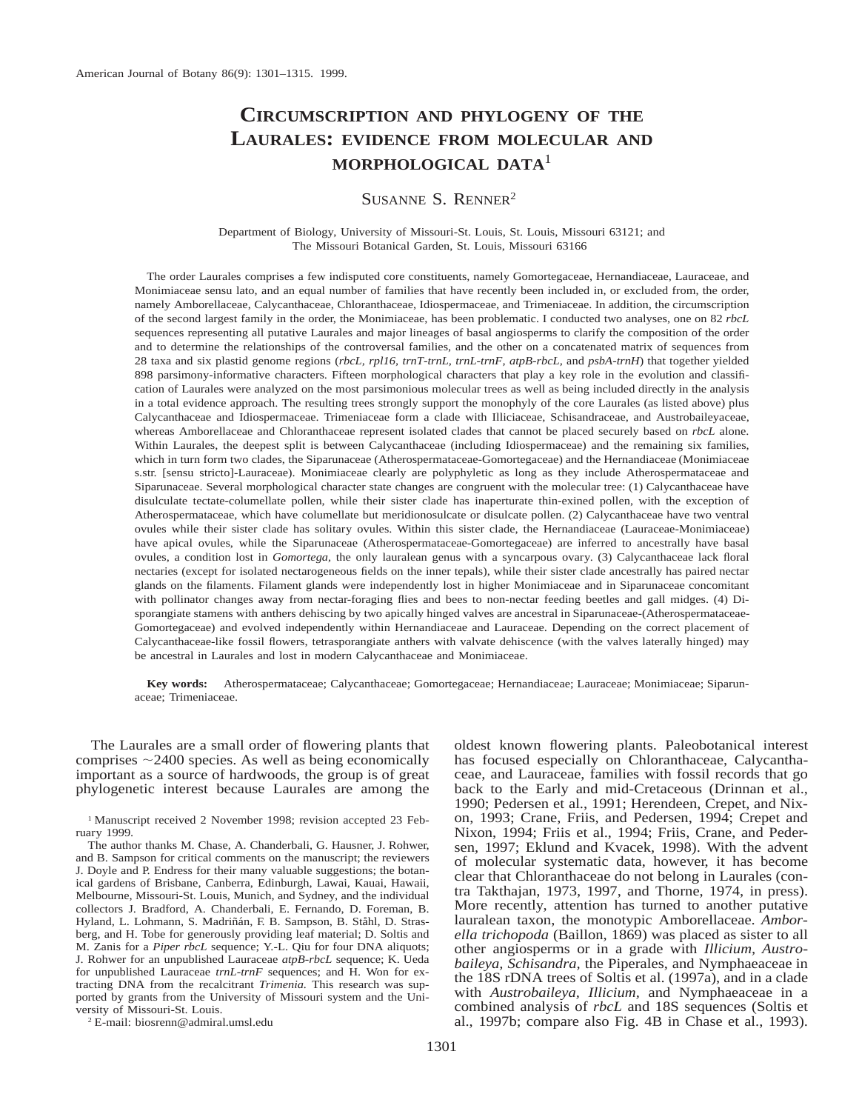# **CIRCUMSCRIPTION AND PHYLOGENY OF THE LAURALES: EVIDENCE FROM MOLECULAR AND MORPHOLOGICAL DATA**<sup>1</sup>

# SUSANNE S. RENNER2

Department of Biology, University of Missouri-St. Louis, St. Louis, Missouri 63121; and The Missouri Botanical Garden, St. Louis, Missouri 63166

The order Laurales comprises a few indisputed core constituents, namely Gomortegaceae, Hernandiaceae, Lauraceae, and Monimiaceae sensu lato, and an equal number of families that have recently been included in, or excluded from, the order, namely Amborellaceae, Calycanthaceae, Chloranthaceae, Idiospermaceae, and Trimeniaceae. In addition, the circumscription of the second largest family in the order, the Monimiaceae, has been problematic. I conducted two analyses, one on 82 *rbcL* sequences representing all putative Laurales and major lineages of basal angiosperms to clarify the composition of the order and to determine the relationships of the controversal families, and the other on a concatenated matrix of sequences from 28 taxa and six plastid genome regions (*rbcL, rpl16, trnT*-*trnL, trnL*-*trnF, atpB*-*rbcL,* and *psbA*-*trnH*) that together yielded 898 parsimony-informative characters. Fifteen morphological characters that play a key role in the evolution and classification of Laurales were analyzed on the most parsimonious molecular trees as well as being included directly in the analysis in a total evidence approach. The resulting trees strongly support the monophyly of the core Laurales (as listed above) plus Calycanthaceae and Idiospermaceae. Trimeniaceae form a clade with Illiciaceae, Schisandraceae, and Austrobaileyaceae, whereas Amborellaceae and Chloranthaceae represent isolated clades that cannot be placed securely based on *rbcL* alone. Within Laurales, the deepest split is between Calycanthaceae (including Idiospermaceae) and the remaining six families, which in turn form two clades, the Siparunaceae (Atherospermataceae-Gomortegaceae) and the Hernandiaceae (Monimiaceae s.str. [sensu stricto]-Lauraceae). Monimiaceae clearly are polyphyletic as long as they include Atherospermataceae and Siparunaceae. Several morphological character state changes are congruent with the molecular tree: (1) Calycanthaceae have disulculate tectate-columellate pollen, while their sister clade has inaperturate thin-exined pollen, with the exception of Atherospermataceae, which have columellate but meridionosulcate or disulcate pollen. (2) Calycanthaceae have two ventral ovules while their sister clade has solitary ovules. Within this sister clade, the Hernandiaceae (Lauraceae-Monimiaceae) have apical ovules, while the Siparunaceae (Atherospermataceae-Gomortegaceae) are inferred to ancestrally have basal ovules, a condition lost in *Gomortega,* the only lauralean genus with a syncarpous ovary. (3) Calycanthaceae lack floral nectaries (except for isolated nectarogeneous fields on the inner tepals), while their sister clade ancestrally has paired nectar glands on the filaments. Filament glands were independently lost in higher Monimiaceae and in Siparunaceae concomitant with pollinator changes away from nectar-foraging flies and bees to non-nectar feeding beetles and gall midges. (4) Disporangiate stamens with anthers dehiscing by two apically hinged valves are ancestral in Siparunaceae-(Atherospermataceae-Gomortegaceae) and evolved independently within Hernandiaceae and Lauraceae. Depending on the correct placement of Calycanthaceae-like fossil flowers, tetrasporangiate anthers with valvate dehiscence (with the valves laterally hinged) may be ancestral in Laurales and lost in modern Calycanthaceae and Monimiaceae.

**Key words:** Atherospermataceae; Calycanthaceae; Gomortegaceae; Hernandiaceae; Lauraceae; Monimiaceae; Siparunaceae; Trimeniaceae.

The Laurales are a small order of flowering plants that comprises  $\sim$ 2400 species. As well as being economically important as a source of hardwoods, the group is of great phylogenetic interest because Laurales are among the

<sup>1</sup> Manuscript received 2 November 1998; revision accepted 23 February 1999.

The author thanks M. Chase, A. Chanderbali, G. Hausner, J. Rohwer, and B. Sampson for critical comments on the manuscript; the reviewers J. Doyle and P. Endress for their many valuable suggestions; the botanical gardens of Brisbane, Canberra, Edinburgh, Lawai, Kauai, Hawaii, Melbourne, Missouri-St. Louis, Munich, and Sydney, and the individual collectors J. Bradford, A. Chanderbali, E. Fernando, D. Foreman, B. Hyland, L. Lohmann, S. Madriñán, F. B. Sampson, B. Ståhl, D. Strasberg, and H. Tobe for generously providing leaf material; D. Soltis and M. Zanis for a *Piper rbcL* sequence; Y.-L. Qiu for four DNA aliquots; J. Rohwer for an unpublished Lauraceae *atpB*-*rbcL* sequence; K. Ueda for unpublished Lauraceae *trnL*-*trnF* sequences; and H. Won for extracting DNA from the recalcitrant *Trimenia.* This research was supported by grants from the University of Missouri system and the University of Missouri-St. Louis.

<sup>2</sup> E-mail: biosrenn@admiral.umsl.edu

oldest known flowering plants. Paleobotanical interest has focused especially on Chloranthaceae, Calycanthaceae, and Lauraceae, families with fossil records that go back to the Early and mid-Cretaceous (Drinnan et al., 1990; Pedersen et al., 1991; Herendeen, Crepet, and Nixon, 1993; Crane, Friis, and Pedersen, 1994; Crepet and Nixon, 1994; Friis et al., 1994; Friis, Crane, and Pedersen, 1997; Eklund and Kvacek, 1998). With the advent of molecular systematic data, however, it has become clear that Chloranthaceae do not belong in Laurales (contra Takthajan, 1973, 1997, and Thorne, 1974, in press). More recently, attention has turned to another putative lauralean taxon, the monotypic Amborellaceae. *Amborella trichopoda* (Baillon, 1869) was placed as sister to all other angiosperms or in a grade with *Illicium, Austrobaileya, Schisandra,* the Piperales, and Nymphaeaceae in the 18S rDNA trees of Soltis et al. (1997a), and in a clade with *Austrobaileya, Illicium,* and Nymphaeaceae in a combined analysis of *rbcL* and 18S sequences (Soltis et al., 1997b; compare also Fig. 4B in Chase et al., 1993).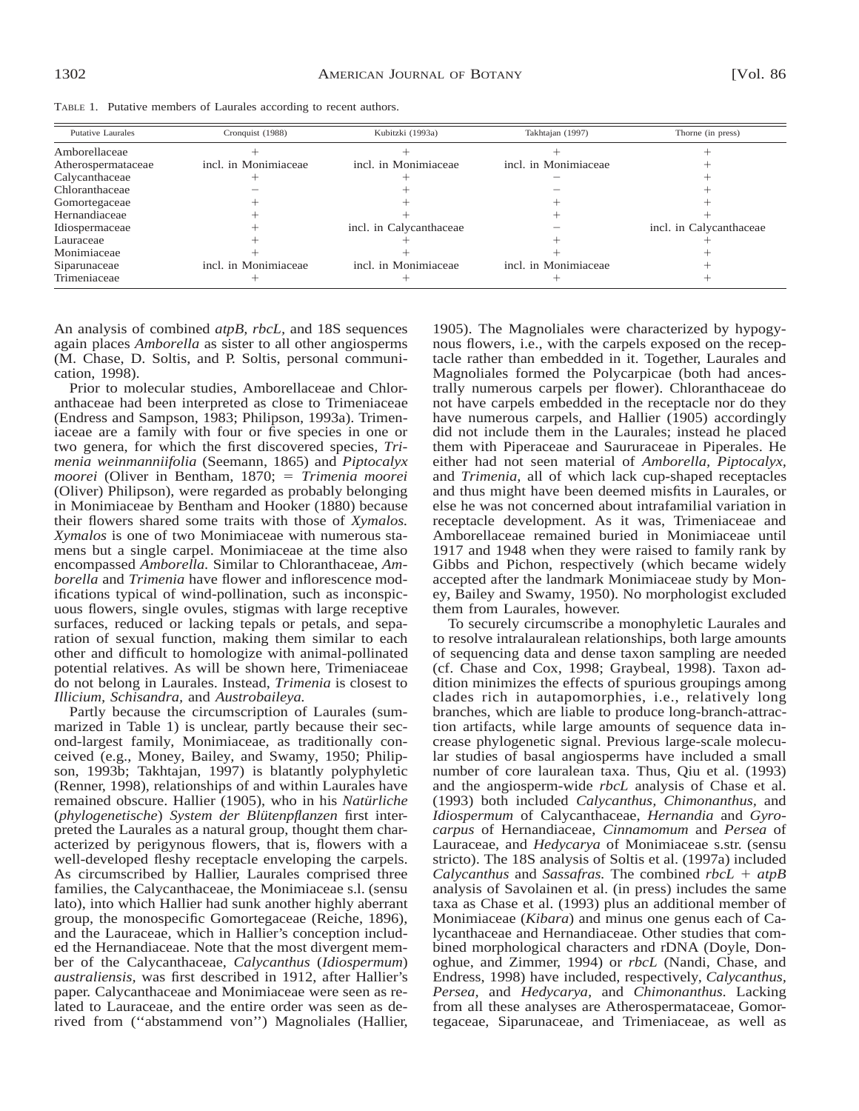TABLE 1. Putative members of Laurales according to recent authors.

| <b>Putative Laurales</b> | Cronquist (1988)     | Kubitzki (1993a)        | Takhtajan (1997)     | Thorne (in press)       |
|--------------------------|----------------------|-------------------------|----------------------|-------------------------|
| Amborellaceae            |                      |                         |                      |                         |
| Atherospermataceae       | incl. in Monimiaceae | incl. in Monimiaceae    | incl. in Monimiaceae |                         |
| Calycanthaceae           |                      |                         |                      |                         |
| Chloranthaceae           |                      |                         |                      |                         |
| Gomortegaceae            |                      |                         |                      |                         |
| Hernandiaceae            |                      |                         |                      |                         |
| Idiospermaceae           |                      | incl. in Calycanthaceae |                      | incl. in Calycanthaceae |
| Lauraceae                |                      |                         |                      |                         |
| Monimiaceae              |                      |                         |                      |                         |
| Siparunaceae             | incl. in Monimiaceae | incl. in Monimiaceae    | incl. in Monimiaceae |                         |
| Trimeniaceae             |                      |                         |                      |                         |

An analysis of combined *atpB, rbcL,* and 18S sequences again places *Amborella* as sister to all other angiosperms (M. Chase, D. Soltis, and P. Soltis, personal communication, 1998).

Prior to molecular studies, Amborellaceae and Chloranthaceae had been interpreted as close to Trimeniaceae (Endress and Sampson, 1983; Philipson, 1993a). Trimeniaceae are a family with four or five species in one or two genera, for which the first discovered species, *Trimenia weinmanniifolia* (Seemann, 1865) and *Piptocalyx moorei* (Oliver in Bentham, 1870; = *Trimenia moorei* (Oliver) Philipson), were regarded as probably belonging in Monimiaceae by Bentham and Hooker (1880) because their flowers shared some traits with those of *Xymalos. Xymalos* is one of two Monimiaceae with numerous stamens but a single carpel. Monimiaceae at the time also encompassed *Amborella.* Similar to Chloranthaceae, *Amborella* and *Trimenia* have flower and inflorescence modifications typical of wind-pollination, such as inconspicuous flowers, single ovules, stigmas with large receptive surfaces, reduced or lacking tepals or petals, and separation of sexual function, making them similar to each other and difficult to homologize with animal-pollinated potential relatives. As will be shown here, Trimeniaceae do not belong in Laurales. Instead, *Trimenia* is closest to *Illicium, Schisandra,* and *Austrobaileya.*

Partly because the circumscription of Laurales (summarized in Table 1) is unclear, partly because their second-largest family, Monimiaceae, as traditionally conceived (e.g., Money, Bailey, and Swamy, 1950; Philipson, 1993b; Takhtajan, 1997) is blatantly polyphyletic (Renner, 1998), relationships of and within Laurales have remained obscure. Hallier (1905), who in his *Natürliche* (*phylogenetische*) *System der Blütenpflanzen* first interpreted the Laurales as a natural group, thought them characterized by perigynous flowers, that is, flowers with a well-developed fleshy receptacle enveloping the carpels. As circumscribed by Hallier, Laurales comprised three families, the Calycanthaceae, the Monimiaceae s.l. (sensu lato), into which Hallier had sunk another highly aberrant group, the monospecific Gomortegaceae (Reiche, 1896), and the Lauraceae, which in Hallier's conception included the Hernandiaceae. Note that the most divergent member of the Calycanthaceae, *Calycanthus* (*Idiospermum*) *australiensis,* was first described in 1912, after Hallier's paper. Calycanthaceae and Monimiaceae were seen as related to Lauraceae, and the entire order was seen as derived from (''abstammend von'') Magnoliales (Hallier, 1905). The Magnoliales were characterized by hypogynous flowers, i.e., with the carpels exposed on the receptacle rather than embedded in it. Together, Laurales and Magnoliales formed the Polycarpicae (both had ancestrally numerous carpels per flower). Chloranthaceae do not have carpels embedded in the receptacle nor do they have numerous carpels, and Hallier (1905) accordingly did not include them in the Laurales; instead he placed them with Piperaceae and Saururaceae in Piperales. He either had not seen material of *Amborella, Piptocalyx,* and *Trimenia,* all of which lack cup-shaped receptacles and thus might have been deemed misfits in Laurales, or else he was not concerned about intrafamilial variation in receptacle development. As it was, Trimeniaceae and Amborellaceae remained buried in Monimiaceae until 1917 and 1948 when they were raised to family rank by Gibbs and Pichon, respectively (which became widely accepted after the landmark Monimiaceae study by Money, Bailey and Swamy, 1950). No morphologist excluded them from Laurales, however.

To securely circumscribe a monophyletic Laurales and to resolve intralauralean relationships, both large amounts of sequencing data and dense taxon sampling are needed (cf. Chase and Cox, 1998; Graybeal, 1998). Taxon addition minimizes the effects of spurious groupings among clades rich in autapomorphies, i.e., relatively long branches, which are liable to produce long-branch-attraction artifacts, while large amounts of sequence data increase phylogenetic signal. Previous large-scale molecular studies of basal angiosperms have included a small number of core lauralean taxa. Thus, Qiu et al. (1993) and the angiosperm-wide *rbcL* analysis of Chase et al. (1993) both included *Calycanthus, Chimonanthus,* and *Idiospermum* of Calycanthaceae, *Hernandia* and *Gyrocarpus* of Hernandiaceae, *Cinnamomum* and *Persea* of Lauraceae, and *Hedycarya* of Monimiaceae s.str. (sensu stricto). The 18S analysis of Soltis et al. (1997a) included *Calycanthus* and *Sassafras*. The combined  $rbcL + atpB$ analysis of Savolainen et al. (in press) includes the same taxa as Chase et al. (1993) plus an additional member of Monimiaceae (*Kibara*) and minus one genus each of Calycanthaceae and Hernandiaceae. Other studies that combined morphological characters and rDNA (Doyle, Donoghue, and Zimmer, 1994) or *rbcL* (Nandi, Chase, and Endress, 1998) have included, respectively, *Calycanthus, Persea,* and *Hedycarya,* and *Chimonanthus.* Lacking from all these analyses are Atherospermataceae, Gomortegaceae, Siparunaceae, and Trimeniaceae, as well as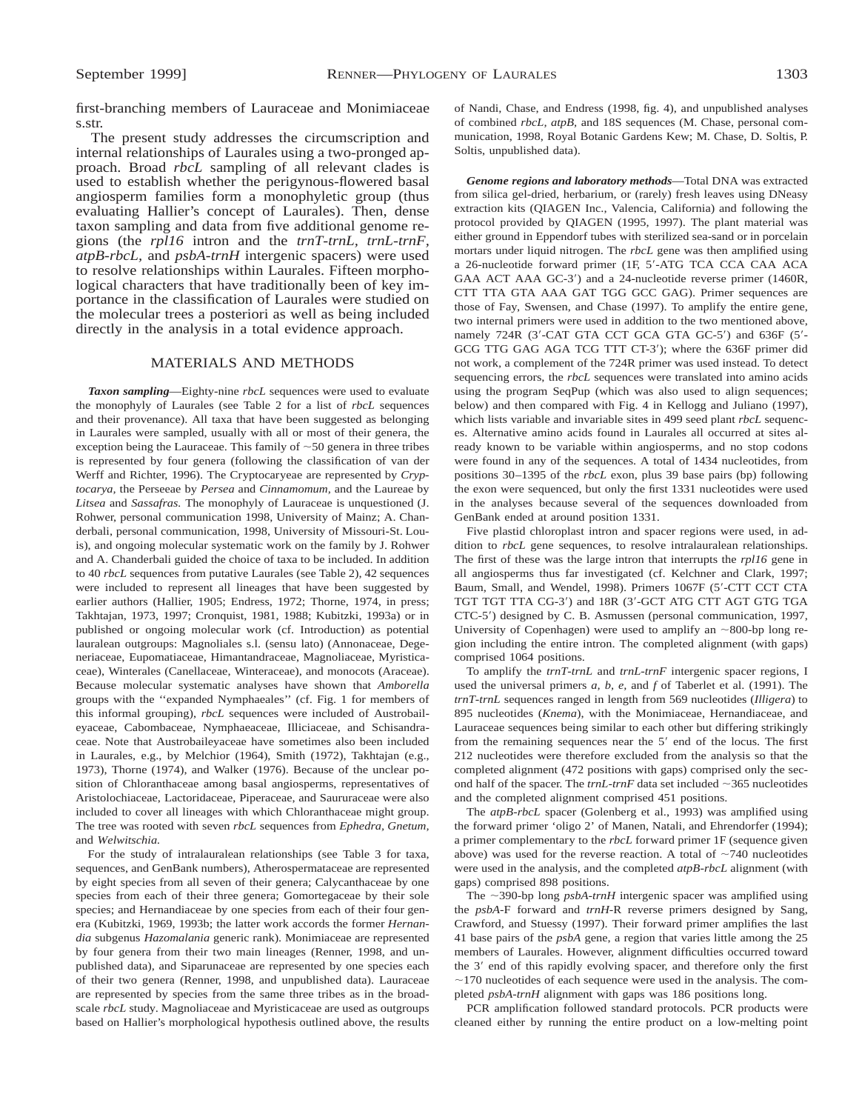first-branching members of Lauraceae and Monimiaceae s.str.

The present study addresses the circumscription and internal relationships of Laurales using a two-pronged approach. Broad *rbcL* sampling of all relevant clades is used to establish whether the perigynous-flowered basal angiosperm families form a monophyletic group (thus evaluating Hallier's concept of Laurales). Then, dense taxon sampling and data from five additional genome regions (the *rpl16* intron and the *trnT*-*trnL, trnL*-*trnF, atpB*-*rbcL,* and *psbA*-*trnH* intergenic spacers) were used to resolve relationships within Laurales. Fifteen morphological characters that have traditionally been of key importance in the classification of Laurales were studied on the molecular trees a posteriori as well as being included directly in the analysis in a total evidence approach.

## MATERIALS AND METHODS

*Taxon sampling*—Eighty-nine *rbcL* sequences were used to evaluate the monophyly of Laurales (see Table 2 for a list of *rbcL* sequences and their provenance). All taxa that have been suggested as belonging in Laurales were sampled, usually with all or most of their genera, the exception being the Lauraceae. This family of  $\sim$  50 genera in three tribes is represented by four genera (following the classification of van der Werff and Richter, 1996). The Cryptocaryeae are represented by *Cryptocarya,* the Perseeae by *Persea* and *Cinnamomum,* and the Laureae by *Litsea* and *Sassafras.* The monophyly of Lauraceae is unquestioned (J. Rohwer, personal communication 1998, University of Mainz; A. Chanderbali, personal communication, 1998, University of Missouri-St. Louis), and ongoing molecular systematic work on the family by J. Rohwer and A. Chanderbali guided the choice of taxa to be included. In addition to 40 *rbcL* sequences from putative Laurales (see Table 2), 42 sequences were included to represent all lineages that have been suggested by earlier authors (Hallier, 1905; Endress, 1972; Thorne, 1974, in press; Takhtajan, 1973, 1997; Cronquist, 1981, 1988; Kubitzki, 1993a) or in published or ongoing molecular work (cf. Introduction) as potential lauralean outgroups: Magnoliales s.l. (sensu lato) (Annonaceae, Degeneriaceae, Eupomatiaceae, Himantandraceae, Magnoliaceae, Myristicaceae), Winterales (Canellaceae, Winteraceae), and monocots (Araceae). Because molecular systematic analyses have shown that *Amborella* groups with the ''expanded Nymphaeales'' (cf. Fig. 1 for members of this informal grouping), *rbcL* sequences were included of Austrobaileyaceae, Cabombaceae, Nymphaeaceae, Illiciaceae, and Schisandraceae. Note that Austrobaileyaceae have sometimes also been included in Laurales, e.g., by Melchior (1964), Smith (1972), Takhtajan (e.g., 1973), Thorne (1974), and Walker (1976). Because of the unclear position of Chloranthaceae among basal angiosperms, representatives of Aristolochiaceae, Lactoridaceae, Piperaceae, and Saururaceae were also included to cover all lineages with which Chloranthaceae might group. The tree was rooted with seven *rbcL* sequences from *Ephedra, Gnetum,* and *Welwitschia.*

For the study of intralauralean relationships (see Table 3 for taxa, sequences, and GenBank numbers), Atherospermataceae are represented by eight species from all seven of their genera; Calycanthaceae by one species from each of their three genera; Gomortegaceae by their sole species; and Hernandiaceae by one species from each of their four genera (Kubitzki, 1969, 1993b; the latter work accords the former *Hernandia* subgenus *Hazomalania* generic rank). Monimiaceae are represented by four genera from their two main lineages (Renner, 1998, and unpublished data), and Siparunaceae are represented by one species each of their two genera (Renner, 1998, and unpublished data). Lauraceae are represented by species from the same three tribes as in the broadscale *rbcL* study. Magnoliaceae and Myristicaceae are used as outgroups based on Hallier's morphological hypothesis outlined above, the results of Nandi, Chase, and Endress (1998, fig. 4), and unpublished analyses of combined *rbcL, atpB,* and 18S sequences (M. Chase, personal communication, 1998, Royal Botanic Gardens Kew; M. Chase, D. Soltis, P. Soltis, unpublished data).

*Genome regions and laboratory methods*—Total DNA was extracted from silica gel-dried, herbarium, or (rarely) fresh leaves using DNeasy extraction kits (QIAGEN Inc., Valencia, California) and following the protocol provided by QIAGEN (1995, 1997). The plant material was either ground in Eppendorf tubes with sterilized sea-sand or in porcelain mortars under liquid nitrogen. The *rbcL* gene was then amplified using a 26-nucleotide forward primer (1F, 5'-ATG TCA CCA CAA ACA GAA ACT AAA GC-3') and a 24-nucleotide reverse primer (1460R, CTT TTA GTA AAA GAT TGG GCC GAG). Primer sequences are those of Fay, Swensen, and Chase (1997). To amplify the entire gene, two internal primers were used in addition to the two mentioned above, namely  $724R$  (3'-CAT GTA CCT GCA GTA GC-5') and  $636F$  (5'-GCG TTG GAG AGA TCG TTT CT-3'); where the 636F primer did not work, a complement of the 724R primer was used instead. To detect sequencing errors, the *rbcL* sequences were translated into amino acids using the program SeqPup (which was also used to align sequences; below) and then compared with Fig. 4 in Kellogg and Juliano (1997), which lists variable and invariable sites in 499 seed plant *rbcL* sequences. Alternative amino acids found in Laurales all occurred at sites already known to be variable within angiosperms, and no stop codons were found in any of the sequences. A total of 1434 nucleotides, from positions 30–1395 of the *rbcL* exon, plus 39 base pairs (bp) following the exon were sequenced, but only the first 1331 nucleotides were used in the analyses because several of the sequences downloaded from GenBank ended at around position 1331.

Five plastid chloroplast intron and spacer regions were used, in addition to *rbcL* gene sequences, to resolve intralauralean relationships. The first of these was the large intron that interrupts the *rpl16* gene in all angiosperms thus far investigated (cf. Kelchner and Clark, 1997; Baum, Small, and Wendel, 1998). Primers 1067F (5'-CTT CCT CTA TGT TGT TTA CG-3') and 18R (3'-GCT ATG CTT AGT GTG TGA CTC-5') designed by C. B. Asmussen (personal communication, 1997, University of Copenhagen) were used to amplify an  $\sim 800$ -bp long region including the entire intron. The completed alignment (with gaps) comprised 1064 positions.

To amplify the *trnT*-*trnL* and *trnL*-*trnF* intergenic spacer regions, I used the universal primers *a, b, e,* and *f* of Taberlet et al. (1991). The *trnT*-*trnL* sequences ranged in length from 569 nucleotides (*Illigera*) to 895 nucleotides (*Knema*), with the Monimiaceae, Hernandiaceae, and Lauraceae sequences being similar to each other but differing strikingly from the remaining sequences near the 5' end of the locus. The first 212 nucleotides were therefore excluded from the analysis so that the completed alignment (472 positions with gaps) comprised only the second half of the spacer. The  $trnL-trnF$  data set included  $\sim$ 365 nucleotides and the completed alignment comprised 451 positions.

The *atpB*-*rbcL* spacer (Golenberg et al., 1993) was amplified using the forward primer 'oligo 2' of Manen, Natali, and Ehrendorfer (1994); a primer complementary to the *rbcL* forward primer 1F (sequence given above) was used for the reverse reaction. A total of  $\sim$ 740 nucleotides were used in the analysis, and the completed *atpB*-*rbcL* alignment (with gaps) comprised 898 positions.

The  $\sim$ 390-bp long *psbA-trnH* intergenic spacer was amplified using the *psbA*-F forward and *trnH*-R reverse primers designed by Sang, Crawford, and Stuessy (1997). Their forward primer amplifies the last 41 base pairs of the *psbA* gene, a region that varies little among the 25 members of Laurales. However, alignment difficulties occurred toward the 3' end of this rapidly evolving spacer, and therefore only the first  $\sim$ 170 nucleotides of each sequence were used in the analysis. The completed *psbA*-*trnH* alignment with gaps was 186 positions long.

PCR amplification followed standard protocols. PCR products were cleaned either by running the entire product on a low-melting point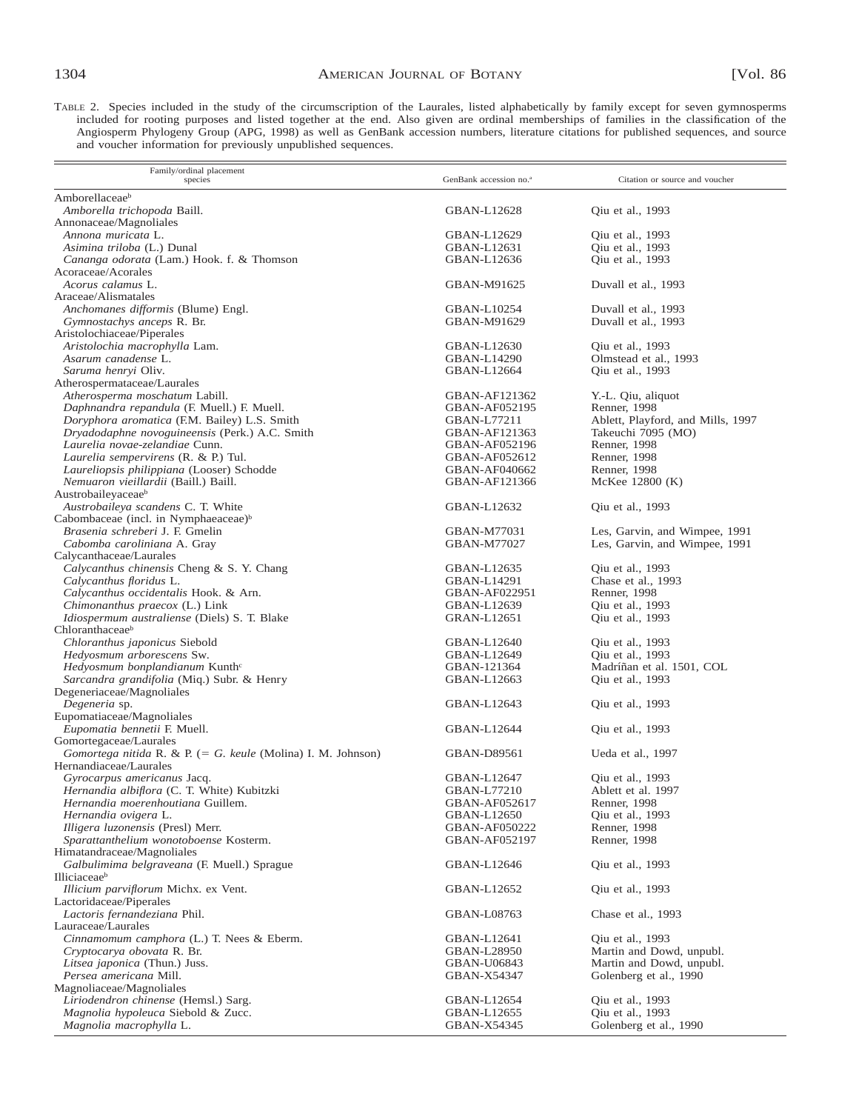TABLE 2. Species included in the study of the circumscription of the Laurales, listed alphabetically by family except for seven gymnosperms included for rooting purposes and listed together at the end. Also given are ordinal memberships of families in the classification of the Angiosperm Phylogeny Group (APG, 1998) as well as GenBank accession numbers, literature citations for published sequences, and source and voucher information for previously unpublished sequences.

| Family/ordinal placement<br>species                                         | GenBank accession no. <sup>a</sup>    | Citation or source and voucher       |
|-----------------------------------------------------------------------------|---------------------------------------|--------------------------------------|
| Amborellaceaeb                                                              |                                       |                                      |
| Amborella trichopoda Baill.                                                 | GBAN-L12628                           | Qiu et al., 1993                     |
| Annonaceae/Magnoliales                                                      |                                       |                                      |
| Annona muricata L.                                                          | GBAN-L12629                           | Qiu et al., 1993                     |
| Asimina triloba (L.) Dunal                                                  | GBAN-L12631                           | Qiu et al., 1993                     |
| Cananga odorata (Lam.) Hook. f. & Thomson<br>Acoraceae/Acorales             | GBAN-L12636                           | Qiu et al., 1993                     |
| Acorus calamus L.                                                           | GBAN-M91625                           | Duvall et al., 1993                  |
| Araceae/Alismatales                                                         |                                       |                                      |
| Anchomanes difformis (Blume) Engl.                                          | GBAN-L10254                           | Duvall et al., 1993                  |
| Gymnostachys anceps R. Br.                                                  | GBAN-M91629                           | Duvall et al., 1993                  |
| Aristolochiaceae/Piperales                                                  |                                       |                                      |
| Aristolochia macrophylla Lam.                                               | GBAN-L12630                           | Qiu et al., 1993                     |
| Asarum canadense L.                                                         | GBAN-L14290                           | Olmstead et al., 1993                |
| Saruma henryi Oliv.                                                         | GBAN-L12664                           | Qiu et al., 1993                     |
| Atherospermataceae/Laurales<br>Atherosperma moschatum Labill.               | GBAN-AF121362                         |                                      |
| Daphnandra repandula (F. Muell.) F. Muell.                                  | GBAN-AF052195                         | Y.-L. Qiu, aliquot<br>Renner, 1998   |
| Doryphora aromatica (F.M. Bailey) L.S. Smith                                | GBAN-L77211                           | Ablett, Playford, and Mills, 1997    |
| Dryadodaphne novoguineensis (Perk.) A.C. Smith                              | GBAN-AF121363                         | Takeuchi 7095 (MO)                   |
| Laurelia novae-zelandiae Cunn.                                              | GBAN-AF052196                         | Renner, 1998                         |
| Laurelia sempervirens (R. & P.) Tul.                                        | GBAN-AF052612                         | Renner, 1998                         |
| Laureliopsis philippiana (Looser) Schodde                                   | GBAN-AF040662                         | Renner, 1998                         |
| Nemuaron vieillardii (Baill.) Baill.                                        | GBAN-AF121366                         | McKee 12800 (K)                      |
| Austrobaileyaceae <sup>b</sup>                                              |                                       |                                      |
| Austrobaileya scandens C. T. White                                          | GBAN-L12632                           | Qiu et al., 1993                     |
| Cabombaceae (incl. in Nymphaeaceae) <sup>b</sup>                            |                                       |                                      |
| Brasenia schreberi J. F. Gmelin                                             | GBAN-M77031                           | Les, Garvin, and Wimpee, 1991        |
| Cabomba caroliniana A. Gray<br>Calycanthaceae/Laurales                      | GBAN-M77027                           | Les, Garvin, and Wimpee, 1991        |
| Calycanthus chinensis Cheng & S. Y. Chang                                   | GBAN-L12635                           | Qiu et al., 1993                     |
| Calycanthus floridus L.                                                     | GBAN-L14291                           | Chase et al., 1993                   |
| Calycanthus occidentalis Hook. & Arn.                                       | GBAN-AF022951                         | Renner, 1998                         |
| Chimonanthus praecox (L.) Link                                              | GBAN-L12639                           | Qiu et al., 1993                     |
| Idiospermum australiense (Diels) S. T. Blake                                | GRAN-L12651                           | Qiu et al., 1993                     |
| Chloranthaceaeb                                                             |                                       |                                      |
| Chloranthus japonicus Siebold                                               | GBAN-L12640                           | Qiu et al., 1993                     |
| Hedyosmum arborescens Sw.                                                   | GBAN-L12649                           | Qiu et al., 1993                     |
| Hedyosmum bonplandianum Kunth <sup>c</sup>                                  | GBAN-121364                           | Madríñan et al. 1501, COL            |
| Sarcandra grandifolia (Miq.) Subr. & Henry<br>Degeneriaceae/Magnoliales     | GBAN-L12663                           | Qiu et al., 1993                     |
| Degeneria sp.                                                               | GBAN-L12643                           | Qiu et al., 1993                     |
| Eupomatiaceae/Magnoliales                                                   |                                       |                                      |
| Eupomatia bennetii F. Muell.                                                | GBAN-L12644                           | Oiu et al., 1993                     |
| Gomortegaceae/Laurales                                                      |                                       |                                      |
| Gomortega nitida R. & P. (= G. keule (Molina) I. M. Johnson)                | GBAN-D89561                           | Ueda et al., 1997                    |
| Hernandiaceae/Laurales                                                      |                                       |                                      |
| <i>Gyrocarpus americanus</i> Jacq.                                          | GBAN-L12647                           | Qiu et al., 1993                     |
| Hernandia albiflora (C. T. White) Kubitzki                                  | GBAN-L77210                           | Ablett et al. 1997                   |
| Hernandia moerenhoutiana Guillem.                                           | GBAN-AF052617                         | Renner, 1998                         |
| Hernandia ovigera L.                                                        | GBAN-L12650                           | Qiu et al., 1993                     |
| Illigera luzonensis (Presl) Merr.<br>Sparattanthelium wonotoboense Kosterm. | <b>GBAN-AF050222</b><br>GBAN-AF052197 | Renner, 1998<br>Renner, 1998         |
| Himatandraceae/Magnoliales                                                  |                                       |                                      |
| Galbulimima belgraveana (F. Muell.) Sprague                                 | GBAN-L12646                           | Qiu et al., 1993                     |
| Illiciaceae <sup>b</sup>                                                    |                                       |                                      |
| Illicium parviflorum Michx. ex Vent.                                        | GBAN-L12652                           | Qiu et al., 1993                     |
| Lactoridaceae/Piperales                                                     |                                       |                                      |
| Lactoris fernandeziana Phil.                                                | GBAN-L08763                           | Chase et al., 1993                   |
| Lauraceae/Laurales                                                          |                                       |                                      |
| Cinnamomum camphora (L.) T. Nees & Eberm.                                   | GBAN-L12641                           | Qiu et al., 1993                     |
| Cryptocarya obovata R. Br.                                                  | GBAN-L28950                           | Martin and Dowd, unpubl.             |
| Litsea japonica (Thun.) Juss.                                               | GBAN-U06843                           | Martin and Dowd, unpubl.             |
| Persea americana Mill.                                                      | GBAN-X54347                           | Golenberg et al., 1990               |
| Magnoliaceae/Magnoliales                                                    |                                       |                                      |
| Liriodendron chinense (Hemsl.) Sarg.<br>Magnolia hypoleuca Siebold & Zucc.  | GBAN-L12654<br>GBAN-L12655            | Qiu et al., 1993<br>Qiu et al., 1993 |
| Magnolia macrophylla L.                                                     | GBAN-X54345                           | Golenberg et al., 1990               |
|                                                                             |                                       |                                      |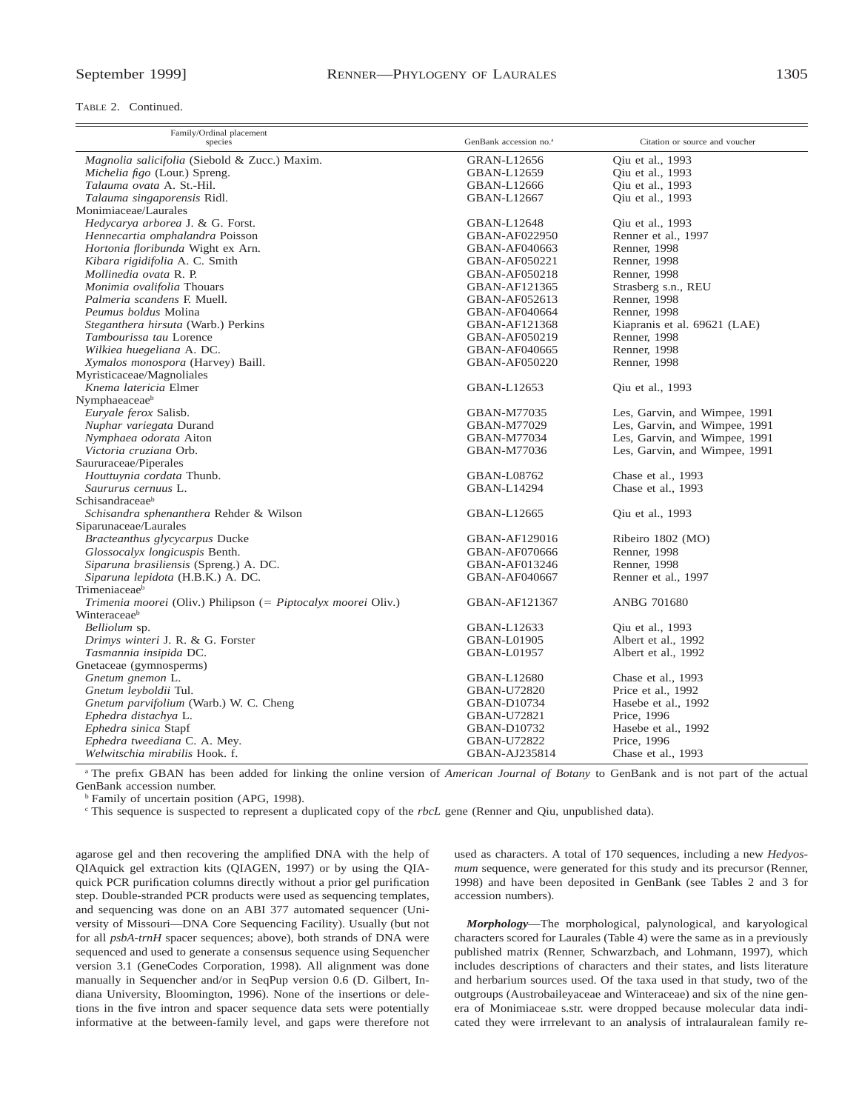TABLE 2. Continued.

| Magnolia salicifolia (Siebold & Zucc.) Maxim.<br>Qiu et al., 1993<br><b>GRAN-L12656</b><br>Michelia figo (Lour.) Spreng.<br>Qiu et al., 1993<br>GBAN-L12659<br>Talauma ovata A. St.-Hil.<br>GBAN-L12666<br>Oiu et al., 1993<br>Talauma singaporensis Ridl.<br>GBAN-L12667<br>Qiu et al., 1993<br>Monimiaceae/Laurales<br>Hedycarya arborea J. & G. Forst.<br><b>GBAN-L12648</b><br>Oiu et al., 1993<br>Hennecartia omphalandra Poisson<br>Renner et al., 1997<br>GBAN-AF022950<br>Hortonia floribunda Wight ex Arn.<br>Renner, 1998<br>GBAN-AF040663<br>Kibara rigidifolia A. C. Smith<br>GBAN-AF050221<br>Renner, 1998<br>Mollinedia ovata R. P.<br>Renner, 1998<br>GBAN-AF050218<br>Monimia ovalifolia Thouars<br>GBAN-AF121365<br>Strasberg s.n., REU<br>Palmeria scandens F. Muell.<br>GBAN-AF052613<br>Renner, 1998<br>Peumus boldus Molina<br>Renner, 1998<br>GBAN-AF040664<br>Steganthera hirsuta (Warb.) Perkins<br>Kiapranis et al. 69621 (LAE)<br>GBAN-AF121368<br>Tambourissa tau Lorence<br>Renner, 1998<br>GBAN-AF050219<br>Wilkiea huegeliana A. DC.<br>Renner, 1998<br>GBAN-AF040665<br>Xymalos monospora (Harvey) Baill.<br><b>GBAN-AF050220</b><br>Renner, 1998<br>Myristicaceae/Magnoliales<br>Knema latericia Elmer<br>GBAN-L12653<br>Qiu et al., 1993<br>Nymphaeaceaeb<br>Euryale ferox Salisb.<br>GBAN-M77035<br>Les, Garvin, and Wimpee, 1991<br>Les, Garvin, and Wimpee, 1991<br>Nuphar variegata Durand<br>GBAN-M77029<br>Nymphaea odorata Aiton<br>Les, Garvin, and Wimpee, 1991<br>GBAN-M77034<br>Victoria cruziana Orb.<br>Les, Garvin, and Wimpee, 1991<br>GBAN-M77036<br>Saururaceae/Piperales<br>Chase et al., 1993<br>Houttuynia cordata Thunb.<br>GBAN-L08762<br>Saururus cernuus L.<br>Chase et al., 1993<br>GBAN-L14294<br>Schisandraceaeb<br>Schisandra sphenanthera Rehder & Wilson<br>GBAN-L12665<br>Oiu et al., 1993<br>Siparunaceae/Laurales<br>Bracteanthus glycycarpus Ducke<br>GBAN-AF129016<br>Ribeiro 1802 (MO)<br>Glossocalyx longicuspis Benth.<br>Renner, 1998<br>GBAN-AF070666 | Family/Ordinal placement<br>species | GenBank accession no. <sup>a</sup> | Citation or source and voucher |
|--------------------------------------------------------------------------------------------------------------------------------------------------------------------------------------------------------------------------------------------------------------------------------------------------------------------------------------------------------------------------------------------------------------------------------------------------------------------------------------------------------------------------------------------------------------------------------------------------------------------------------------------------------------------------------------------------------------------------------------------------------------------------------------------------------------------------------------------------------------------------------------------------------------------------------------------------------------------------------------------------------------------------------------------------------------------------------------------------------------------------------------------------------------------------------------------------------------------------------------------------------------------------------------------------------------------------------------------------------------------------------------------------------------------------------------------------------------------------------------------------------------------------------------------------------------------------------------------------------------------------------------------------------------------------------------------------------------------------------------------------------------------------------------------------------------------------------------------------------------------------------------------------------------------------------------------------------------------------------------------------------------------------------|-------------------------------------|------------------------------------|--------------------------------|
|                                                                                                                                                                                                                                                                                                                                                                                                                                                                                                                                                                                                                                                                                                                                                                                                                                                                                                                                                                                                                                                                                                                                                                                                                                                                                                                                                                                                                                                                                                                                                                                                                                                                                                                                                                                                                                                                                                                                                                                                                                |                                     |                                    |                                |
|                                                                                                                                                                                                                                                                                                                                                                                                                                                                                                                                                                                                                                                                                                                                                                                                                                                                                                                                                                                                                                                                                                                                                                                                                                                                                                                                                                                                                                                                                                                                                                                                                                                                                                                                                                                                                                                                                                                                                                                                                                |                                     |                                    |                                |
|                                                                                                                                                                                                                                                                                                                                                                                                                                                                                                                                                                                                                                                                                                                                                                                                                                                                                                                                                                                                                                                                                                                                                                                                                                                                                                                                                                                                                                                                                                                                                                                                                                                                                                                                                                                                                                                                                                                                                                                                                                |                                     |                                    |                                |
|                                                                                                                                                                                                                                                                                                                                                                                                                                                                                                                                                                                                                                                                                                                                                                                                                                                                                                                                                                                                                                                                                                                                                                                                                                                                                                                                                                                                                                                                                                                                                                                                                                                                                                                                                                                                                                                                                                                                                                                                                                |                                     |                                    |                                |
|                                                                                                                                                                                                                                                                                                                                                                                                                                                                                                                                                                                                                                                                                                                                                                                                                                                                                                                                                                                                                                                                                                                                                                                                                                                                                                                                                                                                                                                                                                                                                                                                                                                                                                                                                                                                                                                                                                                                                                                                                                |                                     |                                    |                                |
|                                                                                                                                                                                                                                                                                                                                                                                                                                                                                                                                                                                                                                                                                                                                                                                                                                                                                                                                                                                                                                                                                                                                                                                                                                                                                                                                                                                                                                                                                                                                                                                                                                                                                                                                                                                                                                                                                                                                                                                                                                |                                     |                                    |                                |
|                                                                                                                                                                                                                                                                                                                                                                                                                                                                                                                                                                                                                                                                                                                                                                                                                                                                                                                                                                                                                                                                                                                                                                                                                                                                                                                                                                                                                                                                                                                                                                                                                                                                                                                                                                                                                                                                                                                                                                                                                                |                                     |                                    |                                |
|                                                                                                                                                                                                                                                                                                                                                                                                                                                                                                                                                                                                                                                                                                                                                                                                                                                                                                                                                                                                                                                                                                                                                                                                                                                                                                                                                                                                                                                                                                                                                                                                                                                                                                                                                                                                                                                                                                                                                                                                                                |                                     |                                    |                                |
|                                                                                                                                                                                                                                                                                                                                                                                                                                                                                                                                                                                                                                                                                                                                                                                                                                                                                                                                                                                                                                                                                                                                                                                                                                                                                                                                                                                                                                                                                                                                                                                                                                                                                                                                                                                                                                                                                                                                                                                                                                |                                     |                                    |                                |
|                                                                                                                                                                                                                                                                                                                                                                                                                                                                                                                                                                                                                                                                                                                                                                                                                                                                                                                                                                                                                                                                                                                                                                                                                                                                                                                                                                                                                                                                                                                                                                                                                                                                                                                                                                                                                                                                                                                                                                                                                                |                                     |                                    |                                |
|                                                                                                                                                                                                                                                                                                                                                                                                                                                                                                                                                                                                                                                                                                                                                                                                                                                                                                                                                                                                                                                                                                                                                                                                                                                                                                                                                                                                                                                                                                                                                                                                                                                                                                                                                                                                                                                                                                                                                                                                                                |                                     |                                    |                                |
|                                                                                                                                                                                                                                                                                                                                                                                                                                                                                                                                                                                                                                                                                                                                                                                                                                                                                                                                                                                                                                                                                                                                                                                                                                                                                                                                                                                                                                                                                                                                                                                                                                                                                                                                                                                                                                                                                                                                                                                                                                |                                     |                                    |                                |
|                                                                                                                                                                                                                                                                                                                                                                                                                                                                                                                                                                                                                                                                                                                                                                                                                                                                                                                                                                                                                                                                                                                                                                                                                                                                                                                                                                                                                                                                                                                                                                                                                                                                                                                                                                                                                                                                                                                                                                                                                                |                                     |                                    |                                |
|                                                                                                                                                                                                                                                                                                                                                                                                                                                                                                                                                                                                                                                                                                                                                                                                                                                                                                                                                                                                                                                                                                                                                                                                                                                                                                                                                                                                                                                                                                                                                                                                                                                                                                                                                                                                                                                                                                                                                                                                                                |                                     |                                    |                                |
|                                                                                                                                                                                                                                                                                                                                                                                                                                                                                                                                                                                                                                                                                                                                                                                                                                                                                                                                                                                                                                                                                                                                                                                                                                                                                                                                                                                                                                                                                                                                                                                                                                                                                                                                                                                                                                                                                                                                                                                                                                |                                     |                                    |                                |
|                                                                                                                                                                                                                                                                                                                                                                                                                                                                                                                                                                                                                                                                                                                                                                                                                                                                                                                                                                                                                                                                                                                                                                                                                                                                                                                                                                                                                                                                                                                                                                                                                                                                                                                                                                                                                                                                                                                                                                                                                                |                                     |                                    |                                |
|                                                                                                                                                                                                                                                                                                                                                                                                                                                                                                                                                                                                                                                                                                                                                                                                                                                                                                                                                                                                                                                                                                                                                                                                                                                                                                                                                                                                                                                                                                                                                                                                                                                                                                                                                                                                                                                                                                                                                                                                                                |                                     |                                    |                                |
|                                                                                                                                                                                                                                                                                                                                                                                                                                                                                                                                                                                                                                                                                                                                                                                                                                                                                                                                                                                                                                                                                                                                                                                                                                                                                                                                                                                                                                                                                                                                                                                                                                                                                                                                                                                                                                                                                                                                                                                                                                |                                     |                                    |                                |
|                                                                                                                                                                                                                                                                                                                                                                                                                                                                                                                                                                                                                                                                                                                                                                                                                                                                                                                                                                                                                                                                                                                                                                                                                                                                                                                                                                                                                                                                                                                                                                                                                                                                                                                                                                                                                                                                                                                                                                                                                                |                                     |                                    |                                |
|                                                                                                                                                                                                                                                                                                                                                                                                                                                                                                                                                                                                                                                                                                                                                                                                                                                                                                                                                                                                                                                                                                                                                                                                                                                                                                                                                                                                                                                                                                                                                                                                                                                                                                                                                                                                                                                                                                                                                                                                                                |                                     |                                    |                                |
|                                                                                                                                                                                                                                                                                                                                                                                                                                                                                                                                                                                                                                                                                                                                                                                                                                                                                                                                                                                                                                                                                                                                                                                                                                                                                                                                                                                                                                                                                                                                                                                                                                                                                                                                                                                                                                                                                                                                                                                                                                |                                     |                                    |                                |
|                                                                                                                                                                                                                                                                                                                                                                                                                                                                                                                                                                                                                                                                                                                                                                                                                                                                                                                                                                                                                                                                                                                                                                                                                                                                                                                                                                                                                                                                                                                                                                                                                                                                                                                                                                                                                                                                                                                                                                                                                                |                                     |                                    |                                |
|                                                                                                                                                                                                                                                                                                                                                                                                                                                                                                                                                                                                                                                                                                                                                                                                                                                                                                                                                                                                                                                                                                                                                                                                                                                                                                                                                                                                                                                                                                                                                                                                                                                                                                                                                                                                                                                                                                                                                                                                                                |                                     |                                    |                                |
|                                                                                                                                                                                                                                                                                                                                                                                                                                                                                                                                                                                                                                                                                                                                                                                                                                                                                                                                                                                                                                                                                                                                                                                                                                                                                                                                                                                                                                                                                                                                                                                                                                                                                                                                                                                                                                                                                                                                                                                                                                |                                     |                                    |                                |
|                                                                                                                                                                                                                                                                                                                                                                                                                                                                                                                                                                                                                                                                                                                                                                                                                                                                                                                                                                                                                                                                                                                                                                                                                                                                                                                                                                                                                                                                                                                                                                                                                                                                                                                                                                                                                                                                                                                                                                                                                                |                                     |                                    |                                |
|                                                                                                                                                                                                                                                                                                                                                                                                                                                                                                                                                                                                                                                                                                                                                                                                                                                                                                                                                                                                                                                                                                                                                                                                                                                                                                                                                                                                                                                                                                                                                                                                                                                                                                                                                                                                                                                                                                                                                                                                                                |                                     |                                    |                                |
|                                                                                                                                                                                                                                                                                                                                                                                                                                                                                                                                                                                                                                                                                                                                                                                                                                                                                                                                                                                                                                                                                                                                                                                                                                                                                                                                                                                                                                                                                                                                                                                                                                                                                                                                                                                                                                                                                                                                                                                                                                |                                     |                                    |                                |
|                                                                                                                                                                                                                                                                                                                                                                                                                                                                                                                                                                                                                                                                                                                                                                                                                                                                                                                                                                                                                                                                                                                                                                                                                                                                                                                                                                                                                                                                                                                                                                                                                                                                                                                                                                                                                                                                                                                                                                                                                                |                                     |                                    |                                |
|                                                                                                                                                                                                                                                                                                                                                                                                                                                                                                                                                                                                                                                                                                                                                                                                                                                                                                                                                                                                                                                                                                                                                                                                                                                                                                                                                                                                                                                                                                                                                                                                                                                                                                                                                                                                                                                                                                                                                                                                                                |                                     |                                    |                                |
|                                                                                                                                                                                                                                                                                                                                                                                                                                                                                                                                                                                                                                                                                                                                                                                                                                                                                                                                                                                                                                                                                                                                                                                                                                                                                                                                                                                                                                                                                                                                                                                                                                                                                                                                                                                                                                                                                                                                                                                                                                |                                     |                                    |                                |
|                                                                                                                                                                                                                                                                                                                                                                                                                                                                                                                                                                                                                                                                                                                                                                                                                                                                                                                                                                                                                                                                                                                                                                                                                                                                                                                                                                                                                                                                                                                                                                                                                                                                                                                                                                                                                                                                                                                                                                                                                                |                                     |                                    |                                |
|                                                                                                                                                                                                                                                                                                                                                                                                                                                                                                                                                                                                                                                                                                                                                                                                                                                                                                                                                                                                                                                                                                                                                                                                                                                                                                                                                                                                                                                                                                                                                                                                                                                                                                                                                                                                                                                                                                                                                                                                                                |                                     |                                    |                                |
| Siparuna brasiliensis (Spreng.) A. DC.<br>GBAN-AF013246<br>Renner, 1998                                                                                                                                                                                                                                                                                                                                                                                                                                                                                                                                                                                                                                                                                                                                                                                                                                                                                                                                                                                                                                                                                                                                                                                                                                                                                                                                                                                                                                                                                                                                                                                                                                                                                                                                                                                                                                                                                                                                                        |                                     |                                    |                                |
| Siparuna lepidota (H.B.K.) A. DC.<br>GBAN-AF040667<br>Renner et al., 1997                                                                                                                                                                                                                                                                                                                                                                                                                                                                                                                                                                                                                                                                                                                                                                                                                                                                                                                                                                                                                                                                                                                                                                                                                                                                                                                                                                                                                                                                                                                                                                                                                                                                                                                                                                                                                                                                                                                                                      |                                     |                                    |                                |
| Trimeniaceaeb                                                                                                                                                                                                                                                                                                                                                                                                                                                                                                                                                                                                                                                                                                                                                                                                                                                                                                                                                                                                                                                                                                                                                                                                                                                                                                                                                                                                                                                                                                                                                                                                                                                                                                                                                                                                                                                                                                                                                                                                                  |                                     |                                    |                                |
| <i>Trimenia moorei</i> (Oliv.) Philipson (= <i>Piptocalyx moorei</i> Oliv.)<br>GBAN-AF121367<br><b>ANBG 701680</b>                                                                                                                                                                                                                                                                                                                                                                                                                                                                                                                                                                                                                                                                                                                                                                                                                                                                                                                                                                                                                                                                                                                                                                                                                                                                                                                                                                                                                                                                                                                                                                                                                                                                                                                                                                                                                                                                                                             |                                     |                                    |                                |
| Winteraceaeb                                                                                                                                                                                                                                                                                                                                                                                                                                                                                                                                                                                                                                                                                                                                                                                                                                                                                                                                                                                                                                                                                                                                                                                                                                                                                                                                                                                                                                                                                                                                                                                                                                                                                                                                                                                                                                                                                                                                                                                                                   |                                     |                                    |                                |
| Belliolum sp.<br>GBAN-L12633<br>Qiu et al., 1993                                                                                                                                                                                                                                                                                                                                                                                                                                                                                                                                                                                                                                                                                                                                                                                                                                                                                                                                                                                                                                                                                                                                                                                                                                                                                                                                                                                                                                                                                                                                                                                                                                                                                                                                                                                                                                                                                                                                                                               |                                     |                                    |                                |
| Drimys winteri J. R. & G. Forster<br><b>GBAN-L01905</b><br>Albert et al., 1992                                                                                                                                                                                                                                                                                                                                                                                                                                                                                                                                                                                                                                                                                                                                                                                                                                                                                                                                                                                                                                                                                                                                                                                                                                                                                                                                                                                                                                                                                                                                                                                                                                                                                                                                                                                                                                                                                                                                                 |                                     |                                    |                                |
| Tasmannia insipida DC.<br>GBAN-L01957<br>Albert et al., 1992                                                                                                                                                                                                                                                                                                                                                                                                                                                                                                                                                                                                                                                                                                                                                                                                                                                                                                                                                                                                                                                                                                                                                                                                                                                                                                                                                                                                                                                                                                                                                                                                                                                                                                                                                                                                                                                                                                                                                                   |                                     |                                    |                                |
| Gnetaceae (gymnosperms)                                                                                                                                                                                                                                                                                                                                                                                                                                                                                                                                                                                                                                                                                                                                                                                                                                                                                                                                                                                                                                                                                                                                                                                                                                                                                                                                                                                                                                                                                                                                                                                                                                                                                                                                                                                                                                                                                                                                                                                                        |                                     |                                    |                                |
| Gnetum gnemon L.<br>Chase et al., 1993<br>GBAN-L12680                                                                                                                                                                                                                                                                                                                                                                                                                                                                                                                                                                                                                                                                                                                                                                                                                                                                                                                                                                                                                                                                                                                                                                                                                                                                                                                                                                                                                                                                                                                                                                                                                                                                                                                                                                                                                                                                                                                                                                          |                                     |                                    |                                |
| Price et al., 1992<br>Gnetum leyboldii Tul.<br><b>GBAN-U72820</b>                                                                                                                                                                                                                                                                                                                                                                                                                                                                                                                                                                                                                                                                                                                                                                                                                                                                                                                                                                                                                                                                                                                                                                                                                                                                                                                                                                                                                                                                                                                                                                                                                                                                                                                                                                                                                                                                                                                                                              |                                     |                                    |                                |
| Gnetum parvifolium (Warb.) W. C. Cheng<br>Hasebe et al., 1992<br>GBAN-D10734                                                                                                                                                                                                                                                                                                                                                                                                                                                                                                                                                                                                                                                                                                                                                                                                                                                                                                                                                                                                                                                                                                                                                                                                                                                                                                                                                                                                                                                                                                                                                                                                                                                                                                                                                                                                                                                                                                                                                   |                                     |                                    |                                |
| Ephedra distachya L.<br>GBAN-U72821<br>Price, 1996                                                                                                                                                                                                                                                                                                                                                                                                                                                                                                                                                                                                                                                                                                                                                                                                                                                                                                                                                                                                                                                                                                                                                                                                                                                                                                                                                                                                                                                                                                                                                                                                                                                                                                                                                                                                                                                                                                                                                                             |                                     |                                    |                                |
| Ephedra sinica Stapf<br>GBAN-D10732<br>Hasebe et al., 1992                                                                                                                                                                                                                                                                                                                                                                                                                                                                                                                                                                                                                                                                                                                                                                                                                                                                                                                                                                                                                                                                                                                                                                                                                                                                                                                                                                                                                                                                                                                                                                                                                                                                                                                                                                                                                                                                                                                                                                     |                                     |                                    |                                |
| Ephedra tweediana C. A. Mey.<br>GBAN-U72822<br>Price, 1996                                                                                                                                                                                                                                                                                                                                                                                                                                                                                                                                                                                                                                                                                                                                                                                                                                                                                                                                                                                                                                                                                                                                                                                                                                                                                                                                                                                                                                                                                                                                                                                                                                                                                                                                                                                                                                                                                                                                                                     |                                     |                                    |                                |
| Welwitschia mirabilis Hook. f.<br>GBAN-AJ235814<br>Chase et al., 1993                                                                                                                                                                                                                                                                                                                                                                                                                                                                                                                                                                                                                                                                                                                                                                                                                                                                                                                                                                                                                                                                                                                                                                                                                                                                                                                                                                                                                                                                                                                                                                                                                                                                                                                                                                                                                                                                                                                                                          |                                     |                                    |                                |

<sup>a</sup> The prefix GBAN has been added for linking the online version of *American Journal of Botany* to GenBank and is not part of the actual GenBank accession number.

<sup>b</sup> Family of uncertain position (APG, 1998).

<sup>c</sup> This sequence is suspected to represent a duplicated copy of the *rbcL* gene (Renner and Qiu, unpublished data).

agarose gel and then recovering the amplified DNA with the help of QIAquick gel extraction kits (QIAGEN, 1997) or by using the QIAquick PCR purification columns directly without a prior gel purification step. Double-stranded PCR products were used as sequencing templates, and sequencing was done on an ABI 377 automated sequencer (University of Missouri—DNA Core Sequencing Facility). Usually (but not for all *psbA*-*trnH* spacer sequences; above), both strands of DNA were sequenced and used to generate a consensus sequence using Sequencher version 3.1 (GeneCodes Corporation, 1998). All alignment was done manually in Sequencher and/or in SeqPup version 0.6 (D. Gilbert, Indiana University, Bloomington, 1996). None of the insertions or deletions in the five intron and spacer sequence data sets were potentially informative at the between-family level, and gaps were therefore not

used as characters. A total of 170 sequences, including a new *Hedyosmum* sequence, were generated for this study and its precursor (Renner, 1998) and have been deposited in GenBank (see Tables 2 and 3 for accession numbers).

*Morphology*—The morphological, palynological, and karyological characters scored for Laurales (Table 4) were the same as in a previously published matrix (Renner, Schwarzbach, and Lohmann, 1997), which includes descriptions of characters and their states, and lists literature and herbarium sources used. Of the taxa used in that study, two of the outgroups (Austrobaileyaceae and Winteraceae) and six of the nine genera of Monimiaceae s.str. were dropped because molecular data indicated they were irrrelevant to an analysis of intralauralean family re-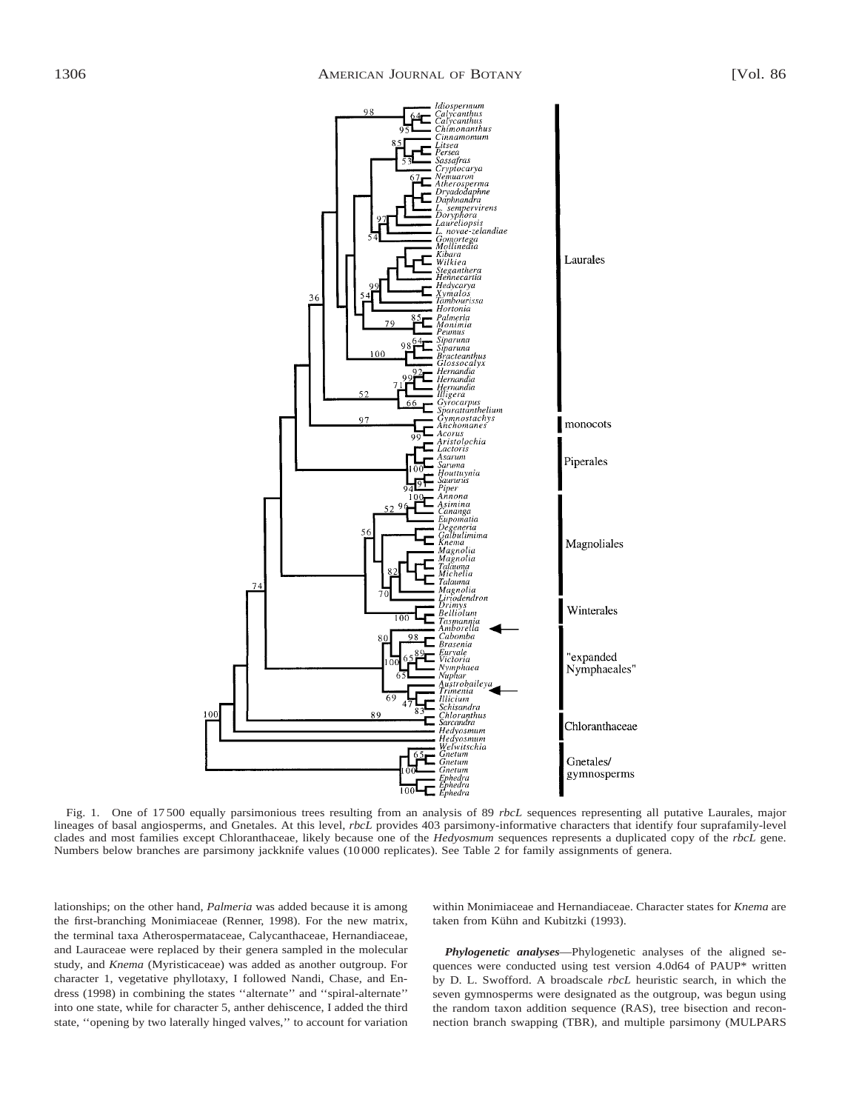

Fig. 1. One of 17 500 equally parsimonious trees resulting from an analysis of 89 *rbcL* sequences representing all putative Laurales, major lineages of basal angiosperms, and Gnetales. At this level, *rbcL* provides 403 parsimony-informative characters that identify four suprafamily-level clades and most families except Chloranthaceae, likely because one of the *Hedyosmum* sequences represents a duplicated copy of the *rbcL* gene. Numbers below branches are parsimony jackknife values (10 000 replicates). See Table 2 for family assignments of genera.

lationships; on the other hand, *Palmeria* was added because it is among the first-branching Monimiaceae (Renner, 1998). For the new matrix, the terminal taxa Atherospermataceae, Calycanthaceae, Hernandiaceae, and Lauraceae were replaced by their genera sampled in the molecular study, and *Knema* (Myristicaceae) was added as another outgroup. For character 1, vegetative phyllotaxy, I followed Nandi, Chase, and Endress (1998) in combining the states ''alternate'' and ''spiral-alternate'' into one state, while for character 5, anther dehiscence, I added the third state, ''opening by two laterally hinged valves,'' to account for variation

within Monimiaceae and Hernandiaceae. Character states for *Knema* are taken from Kühn and Kubitzki (1993).

*Phylogenetic analyses*—Phylogenetic analyses of the aligned sequences were conducted using test version 4.0d64 of PAUP\* written by D. L. Swofford. A broadscale *rbcL* heuristic search, in which the seven gymnosperms were designated as the outgroup, was begun using the random taxon addition sequence (RAS), tree bisection and reconnection branch swapping (TBR), and multiple parsimony (MULPARS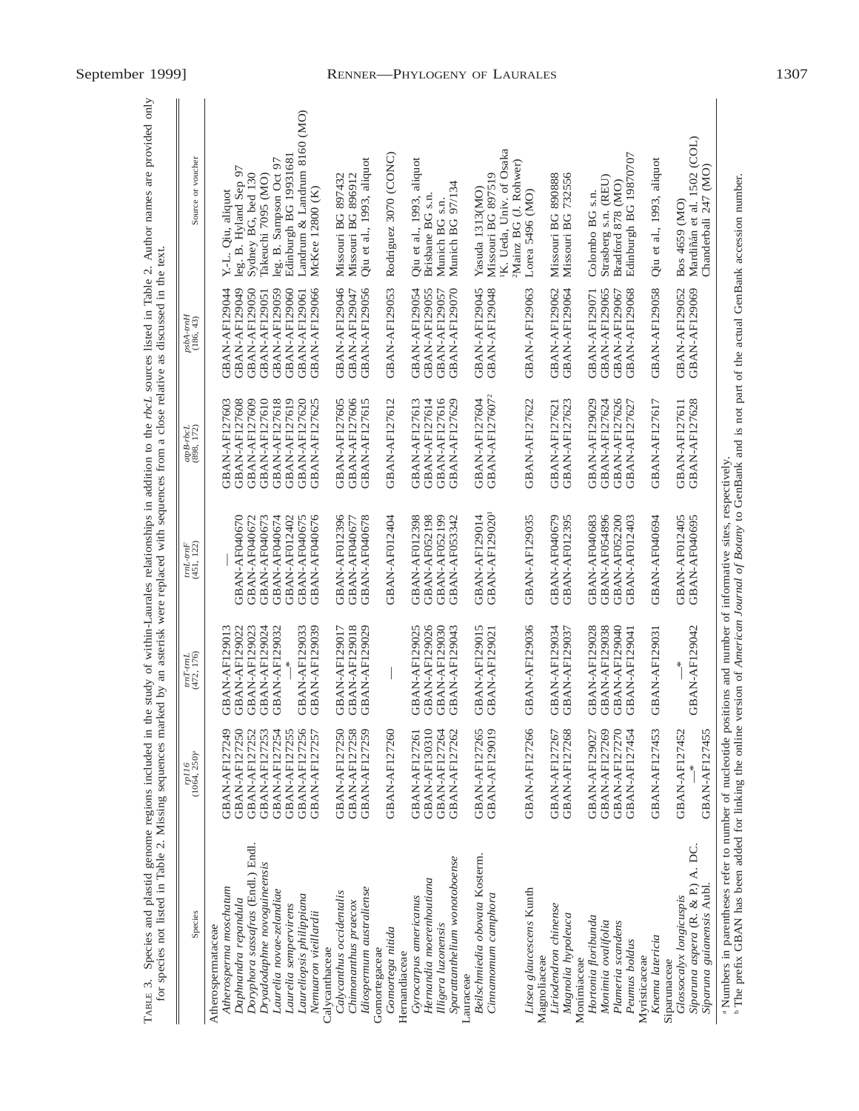| GBAN-AF127616<br>GBAN-AF127604<br>GBAN-AF127626<br>GBAN-AF127629<br>GBAN-AF127623<br>GBAN-AF127627<br>GBAN-AF129020<br><b>GBAN-AF012396</b><br><b>GBAN-AF012398</b><br>GBAN-AF129014<br>GBAN-AF040679<br>GBAN-AF054896<br>GBAN-AF040670<br>GBAN-AF040674<br><b>GBAN-AF040675</b><br>GBAN-AF040676<br><b>GBAN-AF040678</b><br>GBAN-AF012404<br><b>GBAN-AF052198</b><br><b>GBAN-AF052199</b><br><b>GBAN-AF129035</b><br>GBAN-AF012395<br>GBAN-AF040683<br>GBAN-AF052200<br>GBAN-AF012403<br>GBAN-AF040672<br>GBAN-AF040673<br>GBAN-AF012402<br>GBAN-AF053342<br>GBAN-AF040677<br>GBAN-AF129036<br>GBAN-AF129018<br>GBAN-AF129025<br>GBAN-AF129026<br>GBAN-AF129015<br>GBAN-AF129028<br>GBAN-AF129038<br>GBAN-AF129022<br>GBAN-AF129023<br>GBAN-AF129033<br>GBAN-AF129039<br>GBAN-AF129017<br>GBAN-AF129029<br>GBAN-AF129030<br>GBAN-AF129034<br>GBAN-AF129013<br>GBAN-AF129024<br>GBAN-AF129043<br>GBAN-AF129037<br>GBAN-AF129040<br>GBAN-AF129032<br>GBAN-AF129021<br>GBAN-AF129041<br><b>GBAN-AF127270</b><br>GBAN-AF127250<br>GBAN-AF127253<br>GBAN-AF127254<br><b>GBAN-AF127255</b><br>GBAN-AF127256<br>GBAN-AF127250<br>GBAN-AF127258<br>GBAN-AF127259<br><b>GBAN-AF130310</b><br>GBAN-AF127264<br>GBAN-AF127265<br><b>GBAN-AF129019</b><br>GBAN-AF127266<br>GBAN-AF127268<br>GBAN-AF127269<br>GBAN-AF127454<br>GBAN-AF127249<br><b>GBAN-AF127252</b><br>GBAN-AF127257<br>GBAN-AF127260<br>GBAN-AF127262<br>GBAN-AF127267<br>GBAN-AF129027<br>GBAN-AF127261<br>Doryphora sassafras (Endl.) Endl.<br>Beilschmiedia obovata Kosterm.<br>Sparattanthelium wonotoboense<br>Dryadodaphne novoguineensis<br>Hernandia moerenhoutiana<br>Atherosperma moschatum<br>Idiospermum australiense<br>Litsea glaucescens Kunth<br>Laurelia novae-zelandiae<br>Calycanthus occidentalis<br>Cinnamomum camphora<br>Laureliopsis philippiana<br>Gyrocarpus americanus<br>Daphnandra repandula<br>Chimonanthus praecox<br>Laurelia sempervirens<br>Liriodendron chinense<br>Nemuaron vieillardii<br>Magnolia hypoleuca<br>Hortonia floribunda<br>Monimia ovalifolia<br>Plameria scandens<br>Illigera luzonensis<br>Atherospermataceae<br>Gomortega nitida<br>Peunus boldus<br>Calvcanthaceae<br>Gomortegaceae<br>Hernandiaceae<br>Magnoliaceae<br>Myristicaceae<br>Monimiaceae<br>Lauraceae |               |               |               | GBAN-AF127605<br>GBAN-AF127606<br>GBAN-AF127612<br>GBAN-AF127608<br>GBAN-AF127609<br>GBAN-AF127610<br>GBAN-AF127618<br>GBAN-AF127619<br>GBAN-AF127620<br>GBAN-AF127625<br>GBAN-AF127615<br>GBAN-AF127613<br>GBAN-AF127614<br>GBAN-AF127603 | GBAN-AF129049<br>GBAN-AF129046<br>GBAN-AF129056<br><b>GBAN-AF129053</b><br>GBAN-AF129050<br>GBAN-AF129060<br>GBAN-AF129066<br>GBAN-AF129047<br>GBAN-AF129054<br>GBAN-AF129055<br>GBAN-AF129044<br>GBAN-AF129059<br>GBAN-AF129051<br>GBAN-AF129061 | Landrum & Landrum 8160 (MO)<br>Edinburgh BG 19931681<br>leg. B. Sampson Oct 97<br>leg. B. Hyland Sep 97<br>Sydney BG, bed 130<br>Takeuchi 7095 (MO)<br>McKee 12800 (K)<br>Y.-L. Qiu, aliquot |
|------------------------------------------------------------------------------------------------------------------------------------------------------------------------------------------------------------------------------------------------------------------------------------------------------------------------------------------------------------------------------------------------------------------------------------------------------------------------------------------------------------------------------------------------------------------------------------------------------------------------------------------------------------------------------------------------------------------------------------------------------------------------------------------------------------------------------------------------------------------------------------------------------------------------------------------------------------------------------------------------------------------------------------------------------------------------------------------------------------------------------------------------------------------------------------------------------------------------------------------------------------------------------------------------------------------------------------------------------------------------------------------------------------------------------------------------------------------------------------------------------------------------------------------------------------------------------------------------------------------------------------------------------------------------------------------------------------------------------------------------------------------------------------------------------------------------------------------------------------------------------------------------------------------------------------------------------------------------------------------------------------------------------------------------------------------------------------------------------------------------------------------------------------------------------------------------------------------------------------------------------------------------------|---------------|---------------|---------------|--------------------------------------------------------------------------------------------------------------------------------------------------------------------------------------------------------------------------------------------|---------------------------------------------------------------------------------------------------------------------------------------------------------------------------------------------------------------------------------------------------|----------------------------------------------------------------------------------------------------------------------------------------------------------------------------------------------|
|                                                                                                                                                                                                                                                                                                                                                                                                                                                                                                                                                                                                                                                                                                                                                                                                                                                                                                                                                                                                                                                                                                                                                                                                                                                                                                                                                                                                                                                                                                                                                                                                                                                                                                                                                                                                                                                                                                                                                                                                                                                                                                                                                                                                                                                                              |               |               |               |                                                                                                                                                                                                                                            |                                                                                                                                                                                                                                                   |                                                                                                                                                                                              |
|                                                                                                                                                                                                                                                                                                                                                                                                                                                                                                                                                                                                                                                                                                                                                                                                                                                                                                                                                                                                                                                                                                                                                                                                                                                                                                                                                                                                                                                                                                                                                                                                                                                                                                                                                                                                                                                                                                                                                                                                                                                                                                                                                                                                                                                                              |               |               |               |                                                                                                                                                                                                                                            |                                                                                                                                                                                                                                                   |                                                                                                                                                                                              |
|                                                                                                                                                                                                                                                                                                                                                                                                                                                                                                                                                                                                                                                                                                                                                                                                                                                                                                                                                                                                                                                                                                                                                                                                                                                                                                                                                                                                                                                                                                                                                                                                                                                                                                                                                                                                                                                                                                                                                                                                                                                                                                                                                                                                                                                                              |               |               |               |                                                                                                                                                                                                                                            |                                                                                                                                                                                                                                                   |                                                                                                                                                                                              |
|                                                                                                                                                                                                                                                                                                                                                                                                                                                                                                                                                                                                                                                                                                                                                                                                                                                                                                                                                                                                                                                                                                                                                                                                                                                                                                                                                                                                                                                                                                                                                                                                                                                                                                                                                                                                                                                                                                                                                                                                                                                                                                                                                                                                                                                                              |               |               |               |                                                                                                                                                                                                                                            |                                                                                                                                                                                                                                                   |                                                                                                                                                                                              |
|                                                                                                                                                                                                                                                                                                                                                                                                                                                                                                                                                                                                                                                                                                                                                                                                                                                                                                                                                                                                                                                                                                                                                                                                                                                                                                                                                                                                                                                                                                                                                                                                                                                                                                                                                                                                                                                                                                                                                                                                                                                                                                                                                                                                                                                                              |               |               |               |                                                                                                                                                                                                                                            |                                                                                                                                                                                                                                                   |                                                                                                                                                                                              |
|                                                                                                                                                                                                                                                                                                                                                                                                                                                                                                                                                                                                                                                                                                                                                                                                                                                                                                                                                                                                                                                                                                                                                                                                                                                                                                                                                                                                                                                                                                                                                                                                                                                                                                                                                                                                                                                                                                                                                                                                                                                                                                                                                                                                                                                                              |               |               |               |                                                                                                                                                                                                                                            |                                                                                                                                                                                                                                                   |                                                                                                                                                                                              |
|                                                                                                                                                                                                                                                                                                                                                                                                                                                                                                                                                                                                                                                                                                                                                                                                                                                                                                                                                                                                                                                                                                                                                                                                                                                                                                                                                                                                                                                                                                                                                                                                                                                                                                                                                                                                                                                                                                                                                                                                                                                                                                                                                                                                                                                                              |               |               |               |                                                                                                                                                                                                                                            |                                                                                                                                                                                                                                                   |                                                                                                                                                                                              |
|                                                                                                                                                                                                                                                                                                                                                                                                                                                                                                                                                                                                                                                                                                                                                                                                                                                                                                                                                                                                                                                                                                                                                                                                                                                                                                                                                                                                                                                                                                                                                                                                                                                                                                                                                                                                                                                                                                                                                                                                                                                                                                                                                                                                                                                                              |               |               |               |                                                                                                                                                                                                                                            |                                                                                                                                                                                                                                                   | Missouri BG 897432<br>Missouri BG 896912                                                                                                                                                     |
|                                                                                                                                                                                                                                                                                                                                                                                                                                                                                                                                                                                                                                                                                                                                                                                                                                                                                                                                                                                                                                                                                                                                                                                                                                                                                                                                                                                                                                                                                                                                                                                                                                                                                                                                                                                                                                                                                                                                                                                                                                                                                                                                                                                                                                                                              |               |               |               |                                                                                                                                                                                                                                            |                                                                                                                                                                                                                                                   | Qiu et al., 1993, aliquot                                                                                                                                                                    |
|                                                                                                                                                                                                                                                                                                                                                                                                                                                                                                                                                                                                                                                                                                                                                                                                                                                                                                                                                                                                                                                                                                                                                                                                                                                                                                                                                                                                                                                                                                                                                                                                                                                                                                                                                                                                                                                                                                                                                                                                                                                                                                                                                                                                                                                                              |               |               |               |                                                                                                                                                                                                                                            |                                                                                                                                                                                                                                                   |                                                                                                                                                                                              |
|                                                                                                                                                                                                                                                                                                                                                                                                                                                                                                                                                                                                                                                                                                                                                                                                                                                                                                                                                                                                                                                                                                                                                                                                                                                                                                                                                                                                                                                                                                                                                                                                                                                                                                                                                                                                                                                                                                                                                                                                                                                                                                                                                                                                                                                                              |               |               |               |                                                                                                                                                                                                                                            |                                                                                                                                                                                                                                                   | Rodriguez 3070 (CONC)                                                                                                                                                                        |
|                                                                                                                                                                                                                                                                                                                                                                                                                                                                                                                                                                                                                                                                                                                                                                                                                                                                                                                                                                                                                                                                                                                                                                                                                                                                                                                                                                                                                                                                                                                                                                                                                                                                                                                                                                                                                                                                                                                                                                                                                                                                                                                                                                                                                                                                              |               |               |               |                                                                                                                                                                                                                                            |                                                                                                                                                                                                                                                   | Qiu et al., 1993, aliquot                                                                                                                                                                    |
|                                                                                                                                                                                                                                                                                                                                                                                                                                                                                                                                                                                                                                                                                                                                                                                                                                                                                                                                                                                                                                                                                                                                                                                                                                                                                                                                                                                                                                                                                                                                                                                                                                                                                                                                                                                                                                                                                                                                                                                                                                                                                                                                                                                                                                                                              |               |               |               |                                                                                                                                                                                                                                            |                                                                                                                                                                                                                                                   | Brisbane BG s.n                                                                                                                                                                              |
|                                                                                                                                                                                                                                                                                                                                                                                                                                                                                                                                                                                                                                                                                                                                                                                                                                                                                                                                                                                                                                                                                                                                                                                                                                                                                                                                                                                                                                                                                                                                                                                                                                                                                                                                                                                                                                                                                                                                                                                                                                                                                                                                                                                                                                                                              |               |               |               |                                                                                                                                                                                                                                            | GBAN-AF129057                                                                                                                                                                                                                                     | Munich BG s.n.                                                                                                                                                                               |
|                                                                                                                                                                                                                                                                                                                                                                                                                                                                                                                                                                                                                                                                                                                                                                                                                                                                                                                                                                                                                                                                                                                                                                                                                                                                                                                                                                                                                                                                                                                                                                                                                                                                                                                                                                                                                                                                                                                                                                                                                                                                                                                                                                                                                                                                              |               |               |               |                                                                                                                                                                                                                                            | GBAN-AF129070                                                                                                                                                                                                                                     | Munich BG 97/134                                                                                                                                                                             |
|                                                                                                                                                                                                                                                                                                                                                                                                                                                                                                                                                                                                                                                                                                                                                                                                                                                                                                                                                                                                                                                                                                                                                                                                                                                                                                                                                                                                                                                                                                                                                                                                                                                                                                                                                                                                                                                                                                                                                                                                                                                                                                                                                                                                                                                                              |               |               |               |                                                                                                                                                                                                                                            | GBAN-AF129045                                                                                                                                                                                                                                     | Yasuda 1313(MO)                                                                                                                                                                              |
|                                                                                                                                                                                                                                                                                                                                                                                                                                                                                                                                                                                                                                                                                                                                                                                                                                                                                                                                                                                                                                                                                                                                                                                                                                                                                                                                                                                                                                                                                                                                                                                                                                                                                                                                                                                                                                                                                                                                                                                                                                                                                                                                                                                                                                                                              |               |               |               | GBAN-AF127607 <sup>2</sup>                                                                                                                                                                                                                 | GBAN-AF129048                                                                                                                                                                                                                                     | Missouri BG 897519                                                                                                                                                                           |
|                                                                                                                                                                                                                                                                                                                                                                                                                                                                                                                                                                                                                                                                                                                                                                                                                                                                                                                                                                                                                                                                                                                                                                                                                                                                                                                                                                                                                                                                                                                                                                                                                                                                                                                                                                                                                                                                                                                                                                                                                                                                                                                                                                                                                                                                              |               |               |               |                                                                                                                                                                                                                                            |                                                                                                                                                                                                                                                   | K. Ueda, Univ. of Osaka<br><sup>2</sup> Mainz BG (J. Rohwer)                                                                                                                                 |
|                                                                                                                                                                                                                                                                                                                                                                                                                                                                                                                                                                                                                                                                                                                                                                                                                                                                                                                                                                                                                                                                                                                                                                                                                                                                                                                                                                                                                                                                                                                                                                                                                                                                                                                                                                                                                                                                                                                                                                                                                                                                                                                                                                                                                                                                              |               |               |               | GBAN-AF127622                                                                                                                                                                                                                              | GBAN-AF129063                                                                                                                                                                                                                                     | Lorea 5496 (MO)                                                                                                                                                                              |
|                                                                                                                                                                                                                                                                                                                                                                                                                                                                                                                                                                                                                                                                                                                                                                                                                                                                                                                                                                                                                                                                                                                                                                                                                                                                                                                                                                                                                                                                                                                                                                                                                                                                                                                                                                                                                                                                                                                                                                                                                                                                                                                                                                                                                                                                              |               |               |               |                                                                                                                                                                                                                                            |                                                                                                                                                                                                                                                   |                                                                                                                                                                                              |
|                                                                                                                                                                                                                                                                                                                                                                                                                                                                                                                                                                                                                                                                                                                                                                                                                                                                                                                                                                                                                                                                                                                                                                                                                                                                                                                                                                                                                                                                                                                                                                                                                                                                                                                                                                                                                                                                                                                                                                                                                                                                                                                                                                                                                                                                              |               |               |               | GBAN-AF127621                                                                                                                                                                                                                              | GBAN-AF129062<br>GBAN-AF129064                                                                                                                                                                                                                    | Missouri BG 732556<br>Missouri BG 890888                                                                                                                                                     |
|                                                                                                                                                                                                                                                                                                                                                                                                                                                                                                                                                                                                                                                                                                                                                                                                                                                                                                                                                                                                                                                                                                                                                                                                                                                                                                                                                                                                                                                                                                                                                                                                                                                                                                                                                                                                                                                                                                                                                                                                                                                                                                                                                                                                                                                                              |               |               |               |                                                                                                                                                                                                                                            |                                                                                                                                                                                                                                                   |                                                                                                                                                                                              |
|                                                                                                                                                                                                                                                                                                                                                                                                                                                                                                                                                                                                                                                                                                                                                                                                                                                                                                                                                                                                                                                                                                                                                                                                                                                                                                                                                                                                                                                                                                                                                                                                                                                                                                                                                                                                                                                                                                                                                                                                                                                                                                                                                                                                                                                                              |               |               |               | GBAN-AF129029                                                                                                                                                                                                                              | GBAN-AF129071                                                                                                                                                                                                                                     | Colombo BG s.n.                                                                                                                                                                              |
|                                                                                                                                                                                                                                                                                                                                                                                                                                                                                                                                                                                                                                                                                                                                                                                                                                                                                                                                                                                                                                                                                                                                                                                                                                                                                                                                                                                                                                                                                                                                                                                                                                                                                                                                                                                                                                                                                                                                                                                                                                                                                                                                                                                                                                                                              |               |               |               | GBAN-AF127624                                                                                                                                                                                                                              | GBAN-AF129065                                                                                                                                                                                                                                     | Strasberg s.n. (REU)<br>Bradford 878 (MO)                                                                                                                                                    |
|                                                                                                                                                                                                                                                                                                                                                                                                                                                                                                                                                                                                                                                                                                                                                                                                                                                                                                                                                                                                                                                                                                                                                                                                                                                                                                                                                                                                                                                                                                                                                                                                                                                                                                                                                                                                                                                                                                                                                                                                                                                                                                                                                                                                                                                                              |               |               |               |                                                                                                                                                                                                                                            | GBAN-AF129068<br>GBAN-AF129067                                                                                                                                                                                                                    | Edinburgh BG 19870707                                                                                                                                                                        |
|                                                                                                                                                                                                                                                                                                                                                                                                                                                                                                                                                                                                                                                                                                                                                                                                                                                                                                                                                                                                                                                                                                                                                                                                                                                                                                                                                                                                                                                                                                                                                                                                                                                                                                                                                                                                                                                                                                                                                                                                                                                                                                                                                                                                                                                                              |               |               |               |                                                                                                                                                                                                                                            |                                                                                                                                                                                                                                                   |                                                                                                                                                                                              |
| Knema latericia                                                                                                                                                                                                                                                                                                                                                                                                                                                                                                                                                                                                                                                                                                                                                                                                                                                                                                                                                                                                                                                                                                                                                                                                                                                                                                                                                                                                                                                                                                                                                                                                                                                                                                                                                                                                                                                                                                                                                                                                                                                                                                                                                                                                                                                              | GBAN-AF127453 | GBAN-AF129031 | GBAN-AF040694 | GBAN-AF127617                                                                                                                                                                                                                              | <b>GBAN-AF129058</b>                                                                                                                                                                                                                              | Qiu et al., 1993, aliquot                                                                                                                                                                    |
| GBAN-AF012405<br>$*$<br>GBAN-AF127452<br>Glossocalyx longicuspis<br>Siparunaceae                                                                                                                                                                                                                                                                                                                                                                                                                                                                                                                                                                                                                                                                                                                                                                                                                                                                                                                                                                                                                                                                                                                                                                                                                                                                                                                                                                                                                                                                                                                                                                                                                                                                                                                                                                                                                                                                                                                                                                                                                                                                                                                                                                                             |               |               |               | GBAN-AF127611                                                                                                                                                                                                                              | GBAN-AF129052                                                                                                                                                                                                                                     | Bos 4659 (MO)                                                                                                                                                                                |
| <b>GBAN-AF040695</b><br>GBAN-AF129042<br>GBAN-AF127455<br>Siparuna aspera (R. & P.) A. DC.<br>Siparuna guianensis Aubl.                                                                                                                                                                                                                                                                                                                                                                                                                                                                                                                                                                                                                                                                                                                                                                                                                                                                                                                                                                                                                                                                                                                                                                                                                                                                                                                                                                                                                                                                                                                                                                                                                                                                                                                                                                                                                                                                                                                                                                                                                                                                                                                                                      |               |               |               | GBAN-AF127628                                                                                                                                                                                                                              | GBAN-AF129069                                                                                                                                                                                                                                     | Mardiñán et al. 1502 (COL)<br>Chanderbali 247 (MO)                                                                                                                                           |

TABLE 3. Species and plastid genome regions included in the study of within-Laurales relationships in addition to the rbcL sources listed in Table 2. Author names are provided only for species not listed in Table 2. Missin TABLE 3. Species and plastid genome regions included in the study of within-Laurales relationships in addition to the *rbcL* sources listed in Table 2. Author names are provided only for species not listed in Table 2. Missing sequences marked by an asterisk were replaced with sequences from a close relative as discussed in the text.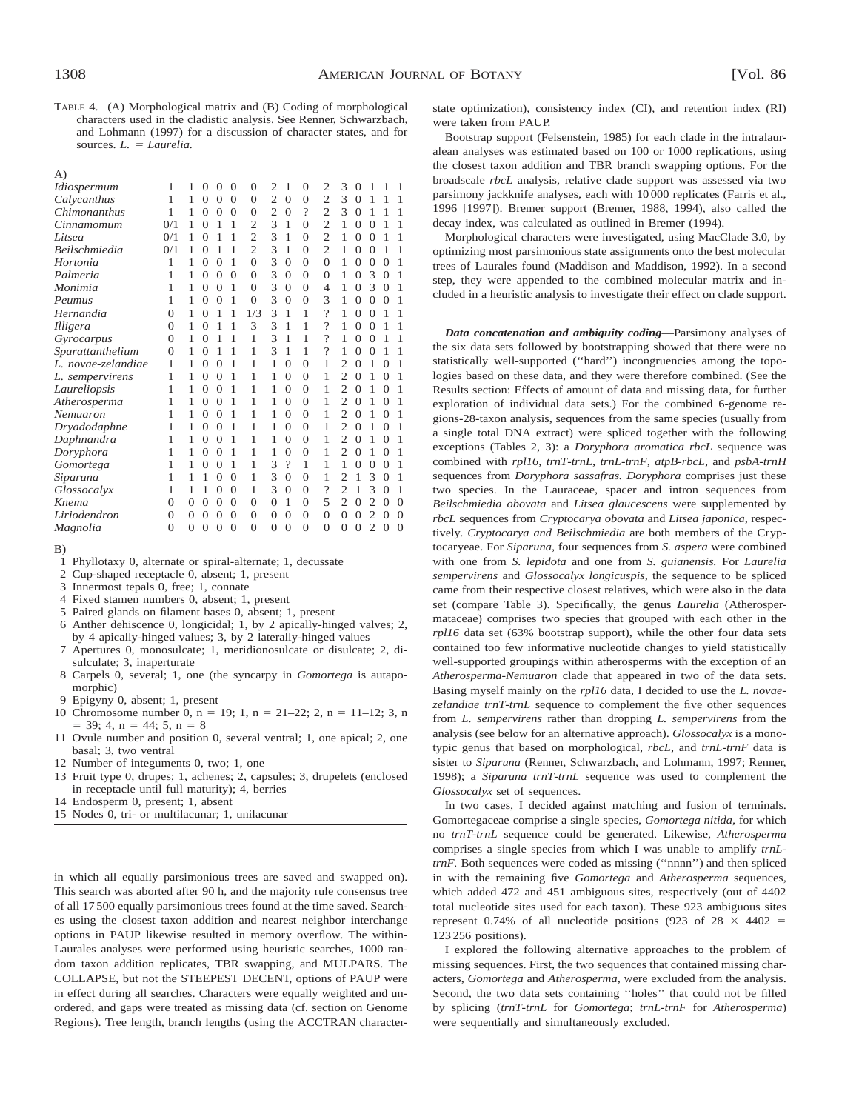TABLE 4. (A) Morphological matrix and (B) Coding of morphological characters used in the cladistic analysis. See Renner, Schwarzbach, and Lohmann (1997) for a discussion of character states, and for sources. *L.* = *Laurelia.* 

| A)                    |          |          |                |                |                |                |                |                |                |                          |                |                |                |                |                |
|-----------------------|----------|----------|----------------|----------------|----------------|----------------|----------------|----------------|----------------|--------------------------|----------------|----------------|----------------|----------------|----------------|
| Idiospermum           | 1        | 1        | 0              | $\overline{0}$ | $\overline{0}$ | $\overline{0}$ | $\overline{c}$ | 1              | $\Omega$       | 2                        | 3              | $\Omega$       | 1              | 1              | 1              |
| Calycanthus           | 1        | 1        | $\Omega$       | $\theta$       | $\overline{0}$ | $\overline{0}$ | $\overline{c}$ | $\overline{0}$ | $\Omega$       | $\overline{c}$           | 3              | $\Omega$       | 1              | 1              | 1              |
| Chimonanthus          | 1        | 1        | $\overline{0}$ | $\overline{0}$ | $\overline{0}$ | $\overline{0}$ | $\overline{2}$ | $\overline{0}$ | $\gamma$       | $\overline{2}$           | 3              | $\overline{0}$ | 1              | 1              | 1              |
| Cinnamomum            | 0/1      | 1        | $\overline{0}$ | 1              | 1              | $\overline{2}$ | 3              | 1              | $\Omega$       | $\overline{2}$           | 1              | $\overline{0}$ | $\Omega$       | 1              | 1              |
| Litsea                | 0/1      | 1        | $\overline{0}$ | 1              | 1              | $\overline{2}$ | 3              | 1              | $\Omega$       | $\overline{2}$           | 1              | $\overline{0}$ | $\theta$       | 1              | 1              |
| Beilschmiedia         | 0/1      | 1        | 0              | 1              | 1              | $\overline{2}$ | 3              | 1              | $\Omega$       | $\overline{2}$           | 1              | $\overline{0}$ | $\Omega$       | 1              | 1              |
| Hortonia              | 1        | 1        | $\overline{0}$ | $\overline{0}$ | 1              | $\overline{0}$ | 3              | $\overline{0}$ | $\Omega$       | $\overline{0}$           | 1              | $\overline{0}$ | $\overline{0}$ | $\overline{0}$ | 1              |
| Palmeria              | 1        | 1        | $\overline{0}$ | $\overline{0}$ | $\overline{0}$ | $\overline{0}$ | 3              | $\overline{0}$ | $\Omega$       | $\overline{0}$           | 1              | $\overline{0}$ | 3              | $\overline{0}$ | 1              |
| Monimia               | 1        | 1        | $\overline{0}$ | $\theta$       | 1              | $\overline{0}$ | 3              | $\overline{0}$ | $\Omega$       | 4                        | 1              | $\overline{0}$ | 3              | $\overline{0}$ | 1              |
| Peumus                | 1        | 1        | $\overline{0}$ | $\overline{0}$ | 1              | $\overline{0}$ | 3              | $\overline{0}$ | $\overline{0}$ | 3                        | 1              | $\overline{0}$ | $\overline{0}$ | $\overline{0}$ | 1              |
| Hernandia             | $\Omega$ | 1        | $\Omega$       | 1              | 1              | 1/3            | 3              | 1              | 1              | $\gamma$                 | 1              | $\theta$       | $\theta$       | 1              | 1              |
| Illigera              | $\Omega$ | 1        | $\Omega$       | 1              | 1              | 3              | 3              | 1              | 1              | $\gamma$                 | 1              | $\overline{0}$ | $\Omega$       | 1              | 1              |
| Gyrocarpus            | $\Omega$ | 1        | $\Omega$       | 1              | 1              | 1              | 3              | 1              | 1              | $\overline{\mathcal{C}}$ | 1              | $\overline{0}$ | $\theta$       | 1              | 1              |
| Sparattanthelium      | $\Omega$ | 1        | $\overline{0}$ | 1              | 1              | 1              | 3              | 1              | 1              | $\gamma$                 | 1              | $\overline{0}$ | $\Omega$       | 1              | 1              |
| novae-zelandiae<br>L. | 1        | 1        | $\overline{0}$ | $\theta$       | 1              | 1              | 1              | $\overline{0}$ | $\Omega$       | 1                        | $\overline{c}$ | $\overline{0}$ | 1              | $\overline{0}$ | 1              |
| sempervirens          | 1        | 1        | $\overline{0}$ | $\overline{0}$ | 1              | 1              | 1              | $\overline{0}$ | $\Omega$       | 1                        | $\overline{c}$ | $\overline{0}$ | 1              | $\overline{0}$ | 1              |
| Laureliopsis          | 1        | 1        | $\overline{0}$ | $\overline{0}$ | 1              | 1              | 1              | $\overline{0}$ | $\Omega$       | 1                        | $\overline{c}$ | $\overline{0}$ | 1              | $\overline{0}$ | 1              |
| Atherosperma          | 1        | 1        | $\overline{0}$ | $\overline{0}$ | 1              | 1              | 1              | $\overline{0}$ | $\Omega$       | 1                        | $\overline{c}$ | $\overline{0}$ | 1              | $\overline{0}$ | 1              |
| Nemuaron              | 1        | 1        | $\overline{0}$ | $\overline{0}$ | 1              | 1              | 1              | $\overline{0}$ | $\Omega$       | 1                        | $\overline{c}$ | $\overline{0}$ | 1              | $\overline{0}$ | 1              |
| Dryadodaphne          | 1        | 1        | $\overline{0}$ | 0              | 1              | 1              | 1              | $\overline{0}$ | $\Omega$       | 1                        | $\overline{c}$ | $\overline{0}$ | 1              | $\overline{0}$ | 1              |
| Daphnandra            | 1        | 1        | 0              | 0              | 1              | 1              | 1              | $\overline{0}$ | $\Omega$       | 1                        | $\overline{c}$ | $\overline{0}$ | 1              | 0              | 1              |
| Doryphora             | 1        | 1        | $\overline{0}$ | $\overline{0}$ | 1              | 1              | 1              | $\overline{0}$ | $\Omega$       | 1                        | $\overline{c}$ | $\overline{0}$ | 1              | $\overline{0}$ | 1              |
| Gomortega             |          | 1        | $\Omega$       | $\theta$       | 1              | 1              | 3              | $\gamma$       | 1              | 1                        | 1              | $\Omega$       | $\theta$       | $\overline{0}$ | 1              |
| Siparuna              | 1        | 1        | 1              | $\overline{0}$ | $\overline{0}$ | 1              | 3              | $\overline{0}$ | $\Omega$       | 1                        | $\overline{c}$ | 1              | 3              | $\overline{0}$ | 1              |
| Glossocalyx           | 1        | 1        | 1              | $\theta$       | $\overline{0}$ | 1              | 3              | $\overline{0}$ | $\Omega$       | ?                        | $\overline{2}$ | 1              | 3              | $\overline{0}$ | 1              |
| Knema                 | $\theta$ | $\theta$ | $\Omega$       | $\theta$       | $\overline{0}$ | $\overline{0}$ | $\Omega$       | 1              | $\Omega$       | 5                        | $\overline{c}$ | $\overline{0}$ | $\overline{2}$ | $\overline{0}$ | $\overline{0}$ |
| Liriodendron          | $\Omega$ | $\Omega$ | $\Omega$       | $\theta$       | $\overline{0}$ | $\overline{0}$ | $\overline{0}$ | $\Omega$       | $\Omega$       | $\Omega$                 | $\theta$       | $\Omega$       | $\overline{c}$ | $\Omega$       | $\theta$       |
| Magnolia              | $\theta$ | $\Omega$ | 0              | 0              | $\overline{0}$ | $\overline{0}$ | $\overline{0}$ | $\overline{0}$ | $\theta$       | $\overline{0}$           | $\theta$       | $\overline{0}$ | $\overline{c}$ | $\overline{0}$ | $\overline{0}$ |

B)

- 2 Cup-shaped receptacle 0, absent; 1, present
- 3 Innermost tepals 0, free; 1, connate
- 4 Fixed stamen numbers 0, absent; 1, present
- 5 Paired glands on filament bases 0, absent; 1, present
- 6 Anther dehiscence 0, longicidal; 1, by 2 apically-hinged valves; 2, by 4 apically-hinged values; 3, by 2 laterally-hinged values
- 7 Apertures 0, monosulcate; 1, meridionosulcate or disulcate; 2, disulculate; 3, inaperturate
- 8 Carpels 0, several; 1, one (the syncarpy in *Gomortega* is autapomorphic)
- 9 Epigyny 0, absent; 1, present
- 10 Chromosome number 0,  $n = 19$ ; 1,  $n = 21-22$ ; 2,  $n = 11-12$ ; 3, n  $=$  39; 4, n = 44; 5, n = 8
- 11 Ovule number and position 0, several ventral; 1, one apical; 2, one basal; 3, two ventral
- 12 Number of integuments 0, two; 1, one
- 13 Fruit type 0, drupes; 1, achenes; 2, capsules; 3, drupelets (enclosed in receptacle until full maturity); 4, berries
- 14 Endosperm 0, present; 1, absent
- 15 Nodes 0, tri- or multilacunar; 1, unilacunar

in which all equally parsimonious trees are saved and swapped on). This search was aborted after 90 h, and the majority rule consensus tree of all 17 500 equally parsimonious trees found at the time saved. Searches using the closest taxon addition and nearest neighbor interchange options in PAUP likewise resulted in memory overflow. The within-Laurales analyses were performed using heuristic searches, 1000 random taxon addition replicates, TBR swapping, and MULPARS. The COLLAPSE, but not the STEEPEST DECENT, options of PAUP were in effect during all searches. Characters were equally weighted and unordered, and gaps were treated as missing data (cf. section on Genome Regions). Tree length, branch lengths (using the ACCTRAN characterstate optimization), consistency index (CI), and retention index (RI) were taken from PAUP.

Bootstrap support (Felsenstein, 1985) for each clade in the intralauralean analyses was estimated based on 100 or 1000 replications, using the closest taxon addition and TBR branch swapping options. For the broadscale *rbcL* analysis, relative clade support was assessed via two parsimony jackknife analyses, each with 10 000 replicates (Farris et al., 1996 [1997]). Bremer support (Bremer, 1988, 1994), also called the decay index, was calculated as outlined in Bremer (1994).

Morphological characters were investigated, using MacClade 3.0, by optimizing most parsimonious state assignments onto the best molecular trees of Laurales found (Maddison and Maddison, 1992). In a second step, they were appended to the combined molecular matrix and included in a heuristic analysis to investigate their effect on clade support.

*Data concatenation and ambiguity coding*—Parsimony analyses of the six data sets followed by bootstrapping showed that there were no statistically well-supported (''hard'') incongruencies among the topologies based on these data, and they were therefore combined. (See the Results section: Effects of amount of data and missing data, for further exploration of individual data sets.) For the combined 6-genome regions-28-taxon analysis, sequences from the same species (usually from a single total DNA extract) were spliced together with the following exceptions (Tables 2, 3): a *Doryphora aromatica rbcL* sequence was combined with *rpl16, trnT*-*trnL, trnL*-*trnF, atpB*-*rbcL,* and *psbA*-*trnH* sequences from *Doryphora sassafras. Doryphora* comprises just these two species. In the Lauraceae, spacer and intron sequences from *Beilschmiedia obovata* and *Litsea glaucescens* were supplemented by *rbcL* sequences from *Cryptocarya obovata* and *Litsea japonica,* respectively. *Cryptocarya and Beilschmiedia* are both members of the Cryptocaryeae. For *Siparuna,* four sequences from *S. aspera* were combined with one from *S. lepidota* and one from *S. guianensis.* For *Laurelia sempervirens* and *Glossocalyx longicuspis,* the sequence to be spliced came from their respective closest relatives, which were also in the data set (compare Table 3). Specifically, the genus *Laurelia* (Atherospermataceae) comprises two species that grouped with each other in the *rpl16* data set (63% bootstrap support), while the other four data sets contained too few informative nucleotide changes to yield statistically well-supported groupings within atherosperms with the exception of an *Atherosperma*-*Nemuaron* clade that appeared in two of the data sets. Basing myself mainly on the *rpl16* data, I decided to use the *L. novaezelandiae trnT*-*trnL* sequence to complement the five other sequences from *L. sempervirens* rather than dropping *L. sempervirens* from the analysis (see below for an alternative approach). *Glossocalyx* is a monotypic genus that based on morphological, *rbcL,* and *trnL*-*trnF* data is sister to *Siparuna* (Renner, Schwarzbach, and Lohmann, 1997; Renner, 1998); a *Siparuna trnT*-*trnL* sequence was used to complement the *Glossocalyx* set of sequences.

In two cases, I decided against matching and fusion of terminals. Gomortegaceae comprise a single species, *Gomortega nitida,* for which no *trnT*-*trnL* sequence could be generated. Likewise, *Atherosperma* comprises a single species from which I was unable to amplify *trnLtrnF*. Both sequences were coded as missing ("nnnn") and then spliced in with the remaining five *Gomortega* and *Atherosperma* sequences, which added 472 and 451 ambiguous sites, respectively (out of 4402 total nucleotide sites used for each taxon). These 923 ambiguous sites represent 0.74% of all nucleotide positions (923 of  $28 \times 4402 =$ 123 256 positions).

I explored the following alternative approaches to the problem of missing sequences. First, the two sequences that contained missing characters, *Gomortega* and *Atherosperma,* were excluded from the analysis. Second, the two data sets containing ''holes'' that could not be filled by splicing (*trnT*-*trnL* for *Gomortega*; *trnL*-*trnF* for *Atherosperma*) were sequentially and simultaneously excluded.

<sup>1</sup> Phyllotaxy 0, alternate or spiral-alternate; 1, decussate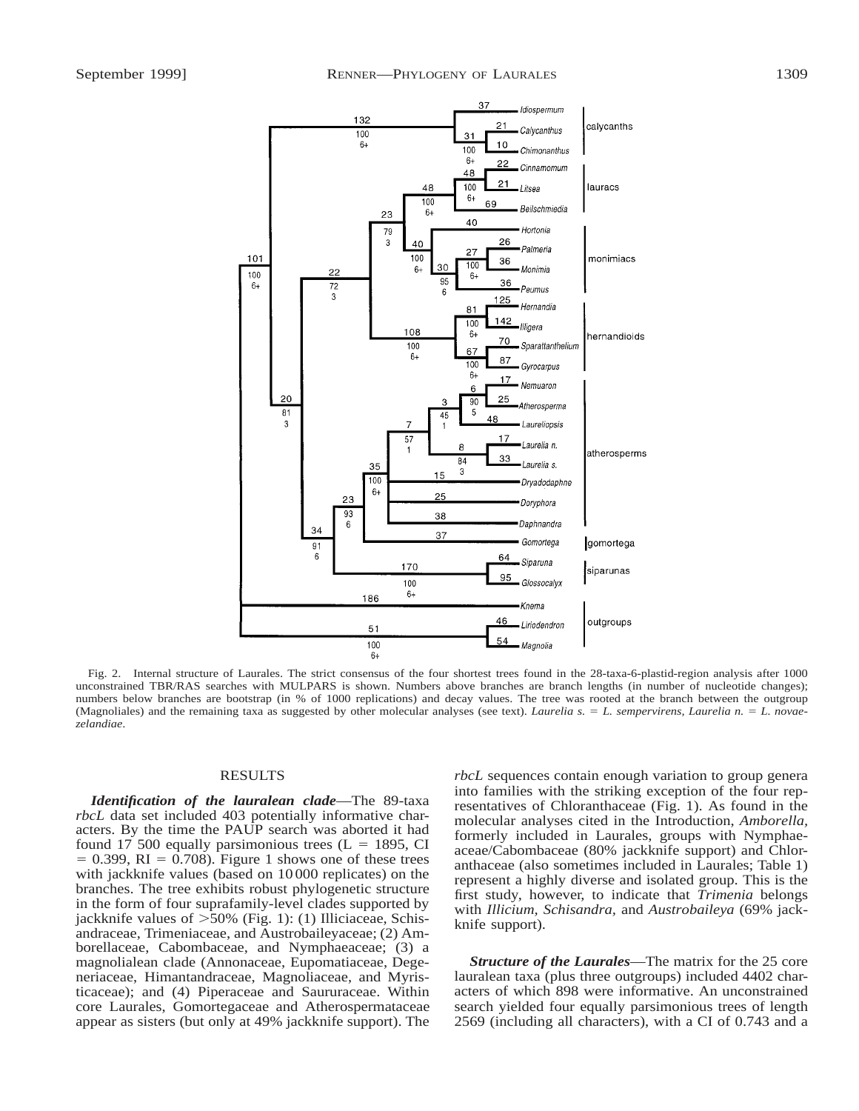

Fig. 2. Internal structure of Laurales. The strict consensus of the four shortest trees found in the 28-taxa-6-plastid-region analysis after 1000 unconstrained TBR/RAS searches with MULPARS is shown. Numbers above branches are branch lengths (in number of nucleotide changes); numbers below branches are bootstrap (in % of 1000 replications) and decay values. The tree was rooted at the branch between the outgroup (Magnoliales) and the remaining taxa as suggested by other molecular analyses (see text). *Laurelia s.* = *L. sempervirens, Laurelia n.* = *L. novaezelandiae*.

#### RESULTS

*Identification of the lauralean clade*—The 89-taxa *rbcL* data set included 403 potentially informative characters. By the time the PAUP search was aborted it had found 17 500 equally parsimonious trees ( $L = 1895$ , CI  $= 0.399$ , RI  $= 0.708$ ). Figure 1 shows one of these trees with jackknife values (based on 10 000 replicates) on the branches. The tree exhibits robust phylogenetic structure in the form of four suprafamily-level clades supported by jackknife values of  $>50\%$  (Fig. 1): (1) Illiciaceae, Schisandraceae, Trimeniaceae, and Austrobaileyaceae; (2) Amborellaceae, Cabombaceae, and Nymphaeaceae; (3) a magnolialean clade (Annonaceae, Eupomatiaceae, Degeneriaceae, Himantandraceae, Magnoliaceae, and Myristicaceae); and (4) Piperaceae and Saururaceae. Within core Laurales, Gomortegaceae and Atherospermataceae appear as sisters (but only at 49% jackknife support). The

*rbcL* sequences contain enough variation to group genera into families with the striking exception of the four representatives of Chloranthaceae (Fig. 1). As found in the molecular analyses cited in the Introduction, *Amborella,* formerly included in Laurales, groups with Nymphaeaceae/Cabombaceae (80% jackknife support) and Chloranthaceae (also sometimes included in Laurales; Table 1) represent a highly diverse and isolated group. This is the first study, however, to indicate that *Trimenia* belongs with *Illicium, Schisandra,* and *Austrobaileya* (69% jackknife support).

*Structure of the Laurales*—The matrix for the 25 core lauralean taxa (plus three outgroups) included 4402 characters of which 898 were informative. An unconstrained search yielded four equally parsimonious trees of length 2569 (including all characters), with a CI of 0.743 and a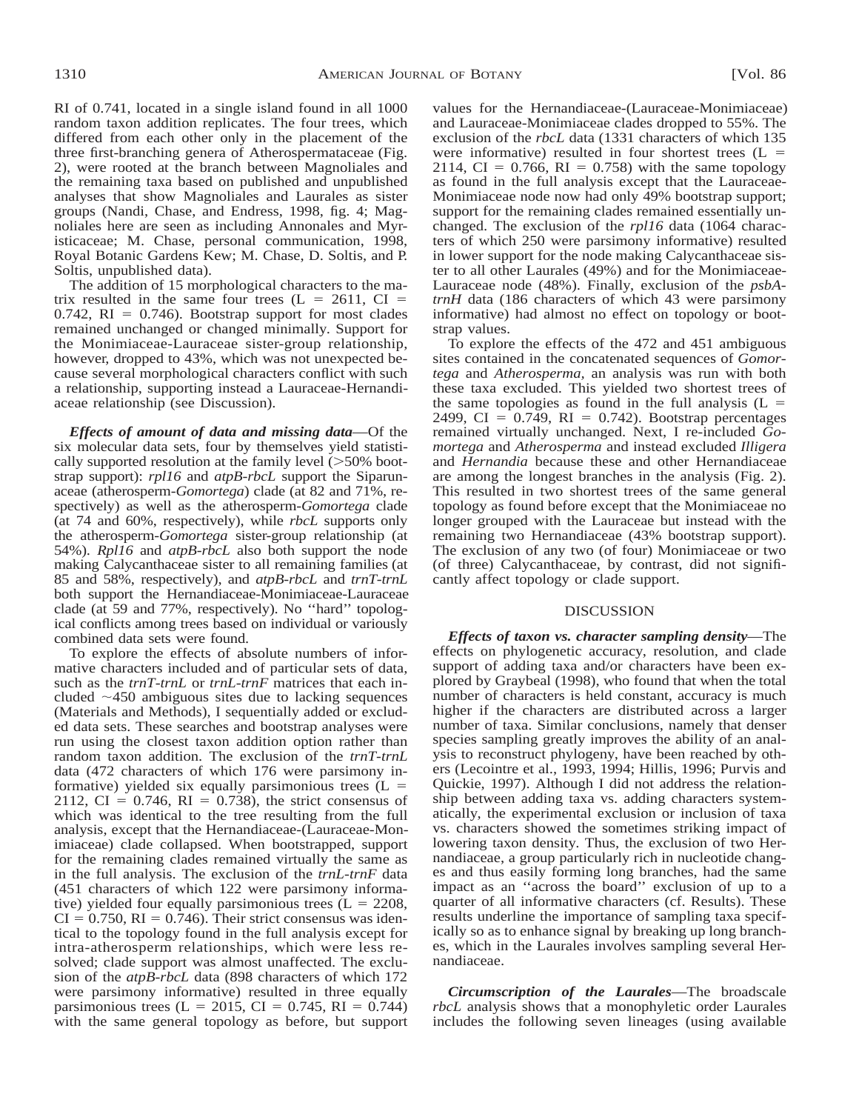RI of 0.741, located in a single island found in all 1000 random taxon addition replicates. The four trees, which differed from each other only in the placement of the three first-branching genera of Atherospermataceae (Fig. 2), were rooted at the branch between Magnoliales and the remaining taxa based on published and unpublished analyses that show Magnoliales and Laurales as sister groups (Nandi, Chase, and Endress, 1998, fig. 4; Magnoliales here are seen as including Annonales and Myristicaceae; M. Chase, personal communication, 1998, Royal Botanic Gardens Kew; M. Chase, D. Soltis, and P. Soltis, unpublished data).

The addition of 15 morphological characters to the matrix resulted in the same four trees  $(L = 2611, Cl = 51)$  $0.742$ , RI = 0.746). Bootstrap support for most clades remained unchanged or changed minimally. Support for the Monimiaceae-Lauraceae sister-group relationship, however, dropped to 43%, which was not unexpected because several morphological characters conflict with such a relationship, supporting instead a Lauraceae-Hernandiaceae relationship (see Discussion).

*Effects of amount of data and missing data*—Of the six molecular data sets, four by themselves yield statistically supported resolution at the family level  $(>50\%$  bootstrap support): *rpl16* and *atpB*-*rbcL* support the Siparunaceae (atherosperm-*Gomortega*) clade (at 82 and 71%, respectively) as well as the atherosperm-*Gomortega* clade (at 74 and 60%, respectively), while *rbcL* supports only the atherosperm-*Gomortega* sister-group relationship (at 54%). *Rpl16* and *atpB*-*rbcL* also both support the node making Calycanthaceae sister to all remaining families (at 85 and 58%, respectively), and *atpB*-*rbcL* and *trnT*-*trnL* both support the Hernandiaceae-Monimiaceae-Lauraceae clade (at 59 and 77%, respectively). No ''hard'' topological conflicts among trees based on individual or variously combined data sets were found.

To explore the effects of absolute numbers of informative characters included and of particular sets of data, such as the *trnT*-*trnL* or *trnL*-*trnF* matrices that each included  $\sim$ 450 ambiguous sites due to lacking sequences (Materials and Methods), I sequentially added or excluded data sets. These searches and bootstrap analyses were run using the closest taxon addition option rather than random taxon addition. The exclusion of the *trnT*-*trnL* data (472 characters of which 176 were parsimony informative) yielded six equally parsimonious trees  $(L =$ 2112, CI = 0.746, RI = 0.738), the strict consensus of which was identical to the tree resulting from the full analysis, except that the Hernandiaceae-(Lauraceae-Monimiaceae) clade collapsed. When bootstrapped, support for the remaining clades remained virtually the same as in the full analysis. The exclusion of the *trnL*-*trnF* data (451 characters of which 122 were parsimony informative) yielded four equally parsimonious trees  $(L = 2208$ ,  $CI = 0.750$ ,  $RI = 0.746$ ). Their strict consensus was identical to the topology found in the full analysis except for intra-atherosperm relationships, which were less resolved; clade support was almost unaffected. The exclusion of the *atpB*-*rbcL* data (898 characters of which 172 were parsimony informative) resulted in three equally parsimonious trees (L = 2015, CI = 0.745, RI = 0.744) with the same general topology as before, but support values for the Hernandiaceae-(Lauraceae-Monimiaceae) and Lauraceae-Monimiaceae clades dropped to 55%. The exclusion of the *rbcL* data (1331 characters of which 135 were informative) resulted in four shortest trees  $(L =$ 2114, CI =  $0.766$ , RI =  $0.758$ ) with the same topology as found in the full analysis except that the Lauraceae-Monimiaceae node now had only 49% bootstrap support; support for the remaining clades remained essentially unchanged. The exclusion of the *rpl16* data (1064 characters of which 250 were parsimony informative) resulted in lower support for the node making Calycanthaceae sister to all other Laurales (49%) and for the Monimiaceae-Lauraceae node (48%). Finally, exclusion of the *psbAtrnH* data (186 characters of which 43 were parsimony informative) had almost no effect on topology or bootstrap values.

To explore the effects of the 472 and 451 ambiguous sites contained in the concatenated sequences of *Gomortega* and *Atherosperma,* an analysis was run with both these taxa excluded. This yielded two shortest trees of the same topologies as found in the full analysis  $(L =$ 2499, CI =  $0.749$ , RI =  $0.742$ ). Bootstrap percentages remained virtually unchanged. Next, I re-included *Gomortega* and *Atherosperma* and instead excluded *Illigera* and *Hernandia* because these and other Hernandiaceae are among the longest branches in the analysis (Fig. 2). This resulted in two shortest trees of the same general topology as found before except that the Monimiaceae no longer grouped with the Lauraceae but instead with the remaining two Hernandiaceae (43% bootstrap support). The exclusion of any two (of four) Monimiaceae or two (of three) Calycanthaceae, by contrast, did not significantly affect topology or clade support.

## DISCUSSION

*Effects of taxon vs. character sampling density*—The effects on phylogenetic accuracy, resolution, and clade support of adding taxa and/or characters have been explored by Graybeal (1998), who found that when the total number of characters is held constant, accuracy is much higher if the characters are distributed across a larger number of taxa. Similar conclusions, namely that denser species sampling greatly improves the ability of an analysis to reconstruct phylogeny, have been reached by others (Lecointre et al., 1993, 1994; Hillis, 1996; Purvis and Quickie, 1997). Although I did not address the relationship between adding taxa vs. adding characters systematically, the experimental exclusion or inclusion of taxa vs. characters showed the sometimes striking impact of lowering taxon density. Thus, the exclusion of two Hernandiaceae, a group particularly rich in nucleotide changes and thus easily forming long branches, had the same impact as an ''across the board'' exclusion of up to a quarter of all informative characters (cf. Results). These results underline the importance of sampling taxa specifically so as to enhance signal by breaking up long branches, which in the Laurales involves sampling several Hernandiaceae.

*Circumscription of the Laurales*—The broadscale *rbcL* analysis shows that a monophyletic order Laurales includes the following seven lineages (using available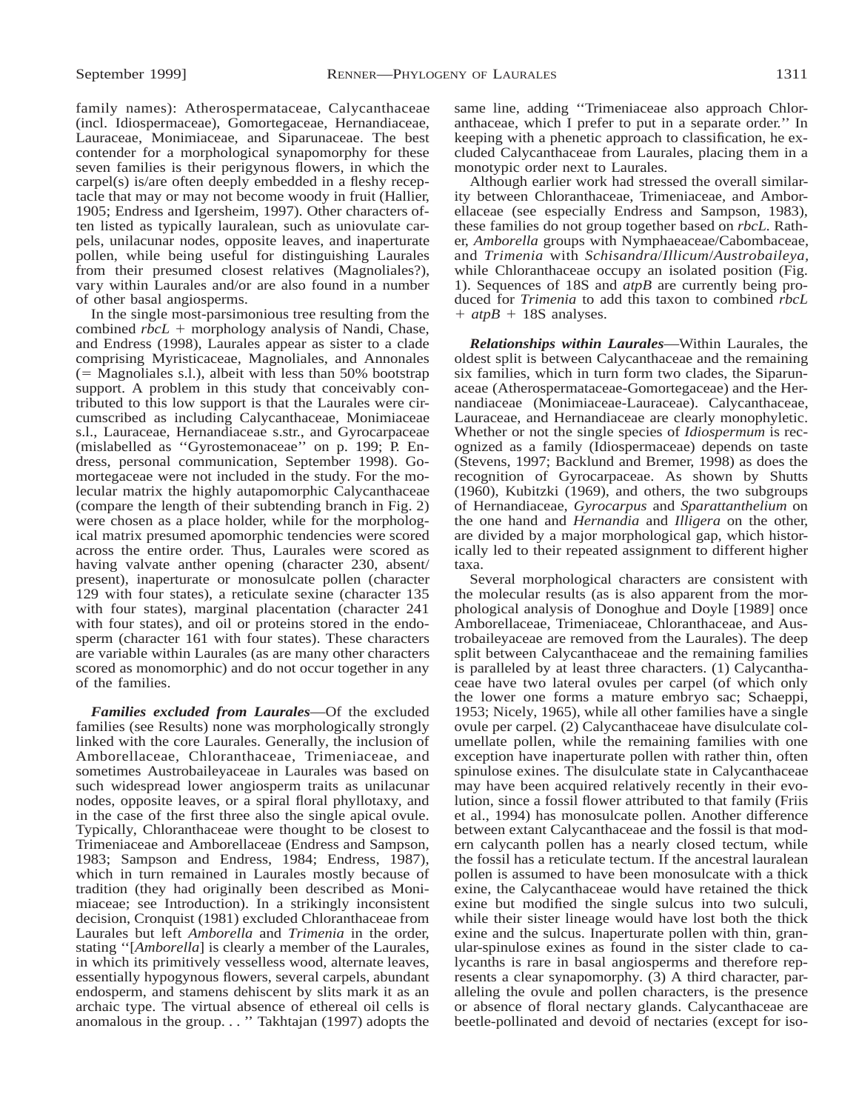family names): Atherospermataceae, Calycanthaceae (incl. Idiospermaceae), Gomortegaceae, Hernandiaceae, Lauraceae, Monimiaceae, and Siparunaceae. The best contender for a morphological synapomorphy for these seven families is their perigynous flowers, in which the carpel(s) is/are often deeply embedded in a fleshy receptacle that may or may not become woody in fruit (Hallier, 1905; Endress and Igersheim, 1997). Other characters often listed as typically lauralean, such as uniovulate carpels, unilacunar nodes, opposite leaves, and inaperturate pollen, while being useful for distinguishing Laurales from their presumed closest relatives (Magnoliales?), vary within Laurales and/or are also found in a number of other basal angiosperms.

In the single most-parsimonious tree resulting from the combined  $rbcL$  + morphology analysis of Nandi, Chase, and Endress (1998), Laurales appear as sister to a clade comprising Myristicaceae, Magnoliales, and Annonales  $(5 - 1)$  Magnoliales s.l.), albeit with less than 50% bootstrap support. A problem in this study that conceivably contributed to this low support is that the Laurales were circumscribed as including Calycanthaceae, Monimiaceae s.l., Lauraceae, Hernandiaceae s.str., and Gyrocarpaceae (mislabelled as ''Gyrostemonaceae'' on p. 199; P. Endress, personal communication, September 1998). Gomortegaceae were not included in the study. For the molecular matrix the highly autapomorphic Calycanthaceae (compare the length of their subtending branch in Fig. 2) were chosen as a place holder, while for the morphological matrix presumed apomorphic tendencies were scored across the entire order. Thus, Laurales were scored as having valvate anther opening (character 230, absent/ present), inaperturate or monosulcate pollen (character 129 with four states), a reticulate sexine (character 135 with four states), marginal placentation (character 241 with four states), and oil or proteins stored in the endosperm (character 161 with four states). These characters are variable within Laurales (as are many other characters scored as monomorphic) and do not occur together in any of the families.

*Families excluded from Laurales*—Of the excluded families (see Results) none was morphologically strongly linked with the core Laurales. Generally, the inclusion of Amborellaceae, Chloranthaceae, Trimeniaceae, and sometimes Austrobaileyaceae in Laurales was based on such widespread lower angiosperm traits as unilacunar nodes, opposite leaves, or a spiral floral phyllotaxy, and in the case of the first three also the single apical ovule. Typically, Chloranthaceae were thought to be closest to Trimeniaceae and Amborellaceae (Endress and Sampson, 1983; Sampson and Endress, 1984; Endress, 1987), which in turn remained in Laurales mostly because of tradition (they had originally been described as Monimiaceae; see Introduction). In a strikingly inconsistent decision, Cronquist (1981) excluded Chloranthaceae from Laurales but left *Amborella* and *Trimenia* in the order, stating ''[*Amborella*] is clearly a member of the Laurales, in which its primitively vesselless wood, alternate leaves, essentially hypogynous flowers, several carpels, abundant endosperm, and stamens dehiscent by slits mark it as an archaic type. The virtual absence of ethereal oil cells is anomalous in the group. . . '' Takhtajan (1997) adopts the

same line, adding ''Trimeniaceae also approach Chloranthaceae, which I prefer to put in a separate order.'' In keeping with a phenetic approach to classification, he excluded Calycanthaceae from Laurales, placing them in a monotypic order next to Laurales.

Although earlier work had stressed the overall similarity between Chloranthaceae, Trimeniaceae, and Amborellaceae (see especially Endress and Sampson, 1983), these families do not group together based on *rbcL.* Rather, *Amborella* groups with Nymphaeaceae/Cabombaceae, and *Trimenia* with *Schisandra*/*Illicum*/*Austrobaileya,* while Chloranthaceae occupy an isolated position (Fig. 1). Sequences of 18S and *atpB* are currently being produced for *Trimenia* to add this taxon to combined *rbcL*  $+$  *atpB* + 18S analyses.

*Relationships within Laurales*—Within Laurales, the oldest split is between Calycanthaceae and the remaining six families, which in turn form two clades, the Siparunaceae (Atherospermataceae-Gomortegaceae) and the Hernandiaceae (Monimiaceae-Lauraceae). Calycanthaceae, Lauraceae, and Hernandiaceae are clearly monophyletic. Whether or not the single species of *Idiospermum* is recognized as a family (Idiospermaceae) depends on taste (Stevens, 1997; Backlund and Bremer, 1998) as does the recognition of Gyrocarpaceae. As shown by Shutts (1960), Kubitzki (1969), and others, the two subgroups of Hernandiaceae, *Gyrocarpus* and *Sparattanthelium* on the one hand and *Hernandia* and *Illigera* on the other, are divided by a major morphological gap, which historically led to their repeated assignment to different higher taxa.

Several morphological characters are consistent with the molecular results (as is also apparent from the morphological analysis of Donoghue and Doyle [1989] once Amborellaceae, Trimeniaceae, Chloranthaceae, and Austrobaileyaceae are removed from the Laurales). The deep split between Calycanthaceae and the remaining families is paralleled by at least three characters. (1) Calycanthaceae have two lateral ovules per carpel (of which only the lower one forms a mature embryo sac; Schaeppi, 1953; Nicely, 1965), while all other families have a single ovule per carpel. (2) Calycanthaceae have disulculate columellate pollen, while the remaining families with one exception have inaperturate pollen with rather thin, often spinulose exines. The disulculate state in Calycanthaceae may have been acquired relatively recently in their evolution, since a fossil flower attributed to that family (Friis et al., 1994) has monosulcate pollen. Another difference between extant Calycanthaceae and the fossil is that modern calycanth pollen has a nearly closed tectum, while the fossil has a reticulate tectum. If the ancestral lauralean pollen is assumed to have been monosulcate with a thick exine, the Calycanthaceae would have retained the thick exine but modified the single sulcus into two sulculi, while their sister lineage would have lost both the thick exine and the sulcus. Inaperturate pollen with thin, granular-spinulose exines as found in the sister clade to calycanths is rare in basal angiosperms and therefore represents a clear synapomorphy. (3) A third character, paralleling the ovule and pollen characters, is the presence or absence of floral nectary glands. Calycanthaceae are beetle-pollinated and devoid of nectaries (except for iso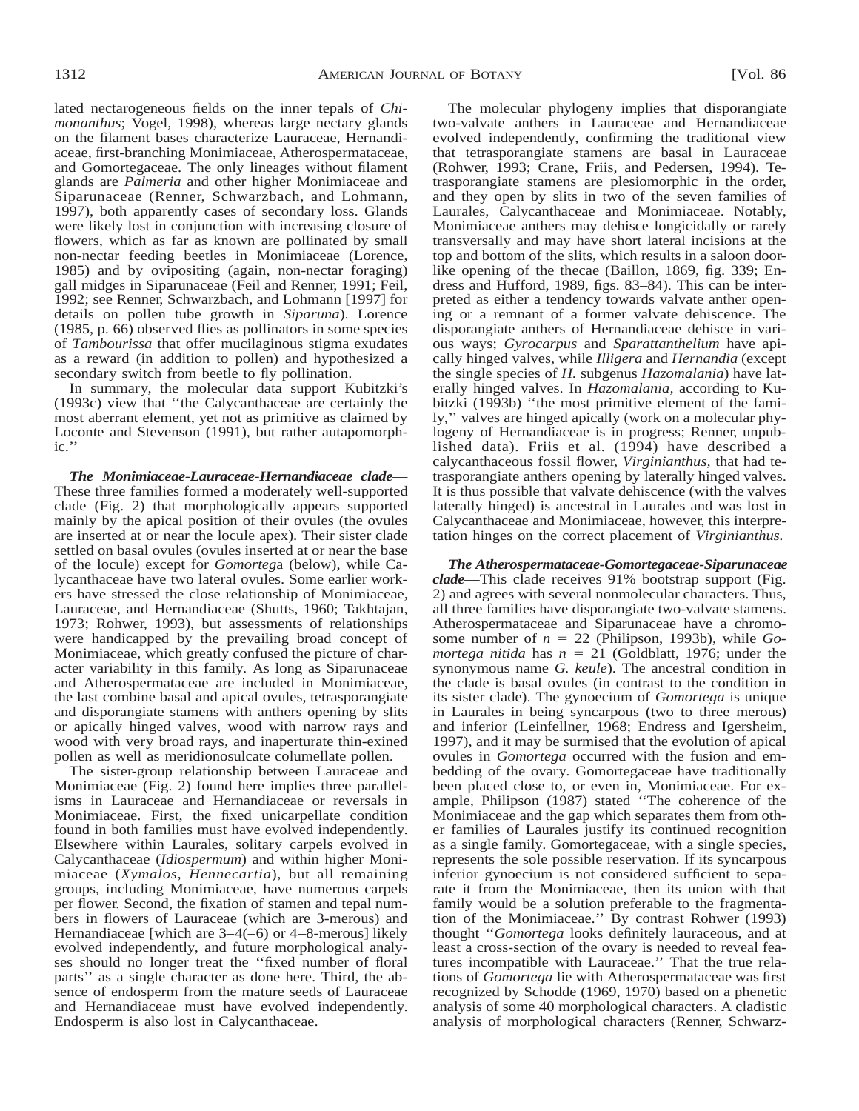lated nectarogeneous fields on the inner tepals of *Chimonanthus*; Vogel, 1998), whereas large nectary glands on the filament bases characterize Lauraceae, Hernandiaceae, first-branching Monimiaceae, Atherospermataceae, and Gomortegaceae. The only lineages without filament glands are *Palmeria* and other higher Monimiaceae and Siparunaceae (Renner, Schwarzbach, and Lohmann, 1997), both apparently cases of secondary loss. Glands were likely lost in conjunction with increasing closure of flowers, which as far as known are pollinated by small non-nectar feeding beetles in Monimiaceae (Lorence, 1985) and by ovipositing (again, non-nectar foraging) gall midges in Siparunaceae (Feil and Renner, 1991; Feil, 1992; see Renner, Schwarzbach, and Lohmann [1997] for details on pollen tube growth in *Siparuna*). Lorence (1985, p. 66) observed flies as pollinators in some species of *Tambourissa* that offer mucilaginous stigma exudates as a reward (in addition to pollen) and hypothesized a secondary switch from beetle to fly pollination.

In summary, the molecular data support Kubitzki's (1993c) view that ''the Calycanthaceae are certainly the most aberrant element, yet not as primitive as claimed by Loconte and Stevenson (1991), but rather autapomorphic.''

*The Monimiaceae-Lauraceae-Hernandiaceae clade*— These three families formed a moderately well-supported clade (Fig. 2) that morphologically appears supported mainly by the apical position of their ovules (the ovules are inserted at or near the locule apex). Their sister clade settled on basal ovules (ovules inserted at or near the base of the locule) except for *Gomorteg*a (below), while Calycanthaceae have two lateral ovules. Some earlier workers have stressed the close relationship of Monimiaceae, Lauraceae, and Hernandiaceae (Shutts, 1960; Takhtajan, 1973; Rohwer, 1993), but assessments of relationships were handicapped by the prevailing broad concept of Monimiaceae, which greatly confused the picture of character variability in this family. As long as Siparunaceae and Atherospermataceae are included in Monimiaceae, the last combine basal and apical ovules, tetrasporangiate and disporangiate stamens with anthers opening by slits or apically hinged valves, wood with narrow rays and wood with very broad rays, and inaperturate thin-exined pollen as well as meridionosulcate columellate pollen.

The sister-group relationship between Lauraceae and Monimiaceae (Fig. 2) found here implies three parallelisms in Lauraceae and Hernandiaceae or reversals in Monimiaceae. First, the fixed unicarpellate condition found in both families must have evolved independently. Elsewhere within Laurales, solitary carpels evolved in Calycanthaceae (*Idiospermum*) and within higher Monimiaceae (*Xymalos, Hennecartia*), but all remaining groups, including Monimiaceae, have numerous carpels per flower. Second, the fixation of stamen and tepal numbers in flowers of Lauraceae (which are 3-merous) and Hernandiaceae [which are 3–4(–6) or 4–8-merous] likely evolved independently, and future morphological analyses should no longer treat the ''fixed number of floral parts'' as a single character as done here. Third, the absence of endosperm from the mature seeds of Lauraceae and Hernandiaceae must have evolved independently. Endosperm is also lost in Calycanthaceae.

The molecular phylogeny implies that disporangiate two-valvate anthers in Lauraceae and Hernandiaceae evolved independently, confirming the traditional view that tetrasporangiate stamens are basal in Lauraceae (Rohwer, 1993; Crane, Friis, and Pedersen, 1994). Tetrasporangiate stamens are plesiomorphic in the order, and they open by slits in two of the seven families of Laurales, Calycanthaceae and Monimiaceae. Notably, Monimiaceae anthers may dehisce longicidally or rarely transversally and may have short lateral incisions at the top and bottom of the slits, which results in a saloon doorlike opening of the thecae (Baillon, 1869, fig. 339; Endress and Hufford, 1989, figs. 83–84). This can be interpreted as either a tendency towards valvate anther opening or a remnant of a former valvate dehiscence. The disporangiate anthers of Hernandiaceae dehisce in various ways; *Gyrocarpus* and *Sparattanthelium* have apically hinged valves, while *Illigera* and *Hernandia* (except the single species of *H.* subgenus *Hazomalania*) have laterally hinged valves. In *Hazomalania,* according to Kubitzki (1993b) ''the most primitive element of the family,'' valves are hinged apically (work on a molecular phylogeny of Hernandiaceae is in progress; Renner, unpublished data). Friis et al. (1994) have described a calycanthaceous fossil flower, *Virginianthus,* that had tetrasporangiate anthers opening by laterally hinged valves. It is thus possible that valvate dehiscence (with the valves laterally hinged) is ancestral in Laurales and was lost in Calycanthaceae and Monimiaceae, however, this interpretation hinges on the correct placement of *Virginianthus.*

*The Atherospermataceae-Gomortegaceae-Siparunaceae clade*—This clade receives 91% bootstrap support (Fig. 2) and agrees with several nonmolecular characters. Thus, all three families have disporangiate two-valvate stamens. Atherospermataceae and Siparunaceae have a chromosome number of  $n = 22$  (Philipson, 1993b), while  $Go$ *mortega nitida* has  $n = 21$  (Goldblatt, 1976; under the synonymous name *G. keule*). The ancestral condition in the clade is basal ovules (in contrast to the condition in its sister clade). The gynoecium of *Gomortega* is unique in Laurales in being syncarpous (two to three merous) and inferior (Leinfellner, 1968; Endress and Igersheim, 1997), and it may be surmised that the evolution of apical ovules in *Gomortega* occurred with the fusion and embedding of the ovary. Gomortegaceae have traditionally been placed close to, or even in, Monimiaceae. For example, Philipson (1987) stated ''The coherence of the Monimiaceae and the gap which separates them from other families of Laurales justify its continued recognition as a single family. Gomortegaceae, with a single species, represents the sole possible reservation. If its syncarpous inferior gynoecium is not considered sufficient to separate it from the Monimiaceae, then its union with that family would be a solution preferable to the fragmentation of the Monimiaceae.'' By contrast Rohwer (1993) thought ''*Gomortega* looks definitely lauraceous, and at least a cross-section of the ovary is needed to reveal features incompatible with Lauraceae.'' That the true relations of *Gomortega* lie with Atherospermataceae was first recognized by Schodde (1969, 1970) based on a phenetic analysis of some 40 morphological characters. A cladistic analysis of morphological characters (Renner, Schwarz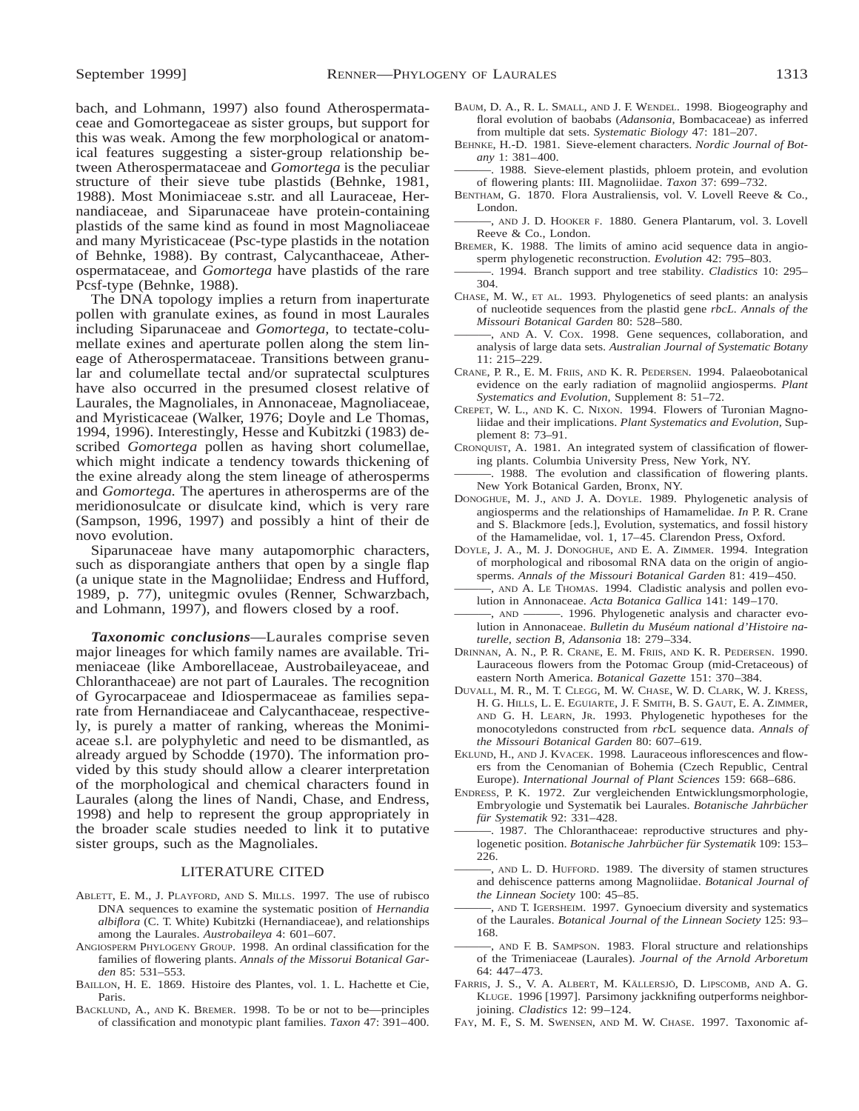bach, and Lohmann, 1997) also found Atherospermataceae and Gomortegaceae as sister groups, but support for this was weak. Among the few morphological or anatomical features suggesting a sister-group relationship between Atherospermataceae and *Gomortega* is the peculiar structure of their sieve tube plastids (Behnke, 1981, 1988). Most Monimiaceae s.str. and all Lauraceae, Hernandiaceae, and Siparunaceae have protein-containing plastids of the same kind as found in most Magnoliaceae and many Myristicaceae (Psc-type plastids in the notation of Behnke, 1988). By contrast, Calycanthaceae, Atherospermataceae, and *Gomortega* have plastids of the rare Pcsf-type (Behnke, 1988).

The DNA topology implies a return from inaperturate pollen with granulate exines, as found in most Laurales including Siparunaceae and *Gomortega,* to tectate-columellate exines and aperturate pollen along the stem lineage of Atherospermataceae. Transitions between granular and columellate tectal and/or supratectal sculptures have also occurred in the presumed closest relative of Laurales, the Magnoliales, in Annonaceae, Magnoliaceae, and Myristicaceae (Walker, 1976; Doyle and Le Thomas, 1994, 1996). Interestingly, Hesse and Kubitzki (1983) described *Gomortega* pollen as having short columellae, which might indicate a tendency towards thickening of the exine already along the stem lineage of atherosperms and *Gomortega.* The apertures in atherosperms are of the meridionosulcate or disulcate kind, which is very rare (Sampson, 1996, 1997) and possibly a hint of their de novo evolution.

Siparunaceae have many autapomorphic characters, such as disporangiate anthers that open by a single flap (a unique state in the Magnoliidae; Endress and Hufford, 1989, p. 77), unitegmic ovules (Renner, Schwarzbach, and Lohmann, 1997), and flowers closed by a roof.

*Taxonomic conclusions*—Laurales comprise seven major lineages for which family names are available. Trimeniaceae (like Amborellaceae, Austrobaileyaceae, and Chloranthaceae) are not part of Laurales. The recognition of Gyrocarpaceae and Idiospermaceae as families separate from Hernandiaceae and Calycanthaceae, respectively, is purely a matter of ranking, whereas the Monimiaceae s.l. are polyphyletic and need to be dismantled, as already argued by Schodde (1970). The information provided by this study should allow a clearer interpretation of the morphological and chemical characters found in Laurales (along the lines of Nandi, Chase, and Endress, 1998) and help to represent the group appropriately in the broader scale studies needed to link it to putative sister groups, such as the Magnoliales.

## LITERATURE CITED

- ABLETT, E. M., J. PLAYFORD, AND S. MILLS. 1997. The use of rubisco DNA sequences to examine the systematic position of *Hernandia albiflora* (C. T. White) Kubitzki (Hernandiaceae), and relationships among the Laurales. *Austrobaileya* 4: 601–607.
- ANGIOSPERM PHYLOGENY GROUP. 1998. An ordinal classification for the families of flowering plants. *Annals of the Missorui Botanical Garden* 85: 531–553.
- BAILLON, H. E. 1869. Histoire des Plantes, vol. 1. L. Hachette et Cie, Paris.
- BACKLUND, A., AND K. BREMER. 1998. To be or not to be—principles of classification and monotypic plant families. *Taxon* 47: 391–400.
- BAUM, D. A., R. L. SMALL, AND J. F. WENDEL. 1998. Biogeography and floral evolution of baobabs (*Adansonia,* Bombacaceae) as inferred from multiple dat sets. *Systematic Biology* 47: 181–207.
- BEHNKE, H.-D. 1981. Sieve-element characters. *Nordic Journal of Botany* 1: 381–400.
- 1988. Sieve-element plastids, phloem protein, and evolution of flowering plants: III. Magnoliidae. *Taxon* 37: 699–732.
- BENTHAM, G. 1870. Flora Australiensis, vol. V. Lovell Reeve & Co., London.
- ———, AND J. D. HOOKER F. 1880. Genera Plantarum, vol. 3. Lovell Reeve & Co., London.
- BREMER, K. 1988. The limits of amino acid sequence data in angiosperm phylogenetic reconstruction. *Evolution* 42: 795–803.
- ———. 1994. Branch support and tree stability. *Cladistics* 10: 295– 304.
- CHASE, M. W., ET AL. 1993. Phylogenetics of seed plants: an analysis of nucleotide sequences from the plastid gene *rbcL. Annals of the Missouri Botanical Garden* 80: 528–580.
- ———, AND A. V. COX. 1998. Gene sequences, collaboration, and analysis of large data sets. *Australian Journal of Systematic Botany* 11: 215–229.
- CRANE, P. R., E. M. FRIIS, AND K. R. PEDERSEN. 1994. Palaeobotanical evidence on the early radiation of magnoliid angiosperms. *Plant Systematics and Evolution,* Supplement 8: 51–72.
- CREPET, W. L., AND K. C. NIXON. 1994. Flowers of Turonian Magnoliidae and their implications. *Plant Systematics and Evolution,* Supplement 8: 73–91.
- CRONQUIST, A. 1981. An integrated system of classification of flowering plants. Columbia University Press, New York, NY.
- . 1988. The evolution and classification of flowering plants. New York Botanical Garden, Bronx, NY.
- DONOGHUE, M. J., AND J. A. DOYLE. 1989. Phylogenetic analysis of angiosperms and the relationships of Hamamelidae. *In* P. R. Crane and S. Blackmore [eds.], Evolution, systematics, and fossil history of the Hamamelidae, vol. 1, 17–45. Clarendon Press, Oxford.
- DOYLE, J. A., M. J. DONOGHUE, AND E. A. ZIMMER. 1994. Integration of morphological and ribosomal RNA data on the origin of angiosperms. *Annals of the Missouri Botanical Garden* 81: 419–450.
- ———, AND A. LE THOMAS. 1994. Cladistic analysis and pollen evolution in Annonaceae. *Acta Botanica Gallica* 141: 149–170.
- ———, AND ———. 1996. Phylogenetic analysis and character evolution in Annonaceae. Bulletin du Muséum national d'Histoire na*turelle, section B, Adansonia* 18: 279–334.
- DRINNAN, A. N., P. R. CRANE, E. M. FRIIS, AND K. R. PEDERSEN. 1990. Lauraceous flowers from the Potomac Group (mid-Cretaceous) of eastern North America. *Botanical Gazette* 151: 370–384.
- DUVALL, M. R., M. T. CLEGG, M. W. CHASE, W. D. CLARK, W. J. KRESS, H. G. HILLS, L. E. EGUIARTE, J. F. SMITH, B. S. GAUT, E. A. ZIMMER, AND G. H. LEARN, JR. 1993. Phylogenetic hypotheses for the monocotyledons constructed from *rbc*L sequence data. *Annals of the Missouri Botanical Garden* 80: 607–619.
- EKLUND, H., AND J. KVACEK. 1998. Lauraceous inflorescences and flowers from the Cenomanian of Bohemia (Czech Republic, Central Europe). *International Journal of Plant Sciences* 159: 668–686.
- ENDRESS, P. K. 1972. Zur vergleichenden Entwicklungsmorphologie, Embryologie und Systematik bei Laurales. *Botanische Jahrbücher fu¨r Systematik* 92: 331–428.
- -. 1987. The Chloranthaceae: reproductive structures and phylogenetic position. *Botanische Jahrbücher für Systematik* 109: 153– 226.
- -, AND L. D. HUFFORD. 1989. The diversity of stamen structures and dehiscence patterns among Magnoliidae. *Botanical Journal of the Linnean Society* 100: 45–85.
- -, AND T. IGERSHEIM. 1997. Gynoecium diversity and systematics of the Laurales. *Botanical Journal of the Linnean Society* 125: 93– 168.
- AND F. B. SAMPSON. 1983. Floral structure and relationships of the Trimeniaceae (Laurales). *Journal of the Arnold Arboretum* 64: 447–473.
- FARRIS, J. S., V. A. ALBERT, M. KÄLLERSJÖ, D. LIPSCOMB, AND A. G. KLUGE. 1996 [1997]. Parsimony jackknifing outperforms neighborjoining. *Cladistics* 12: 99–124.
- FAY, M. F., S. M. SWENSEN, AND M. W. CHASE. 1997. Taxonomic af-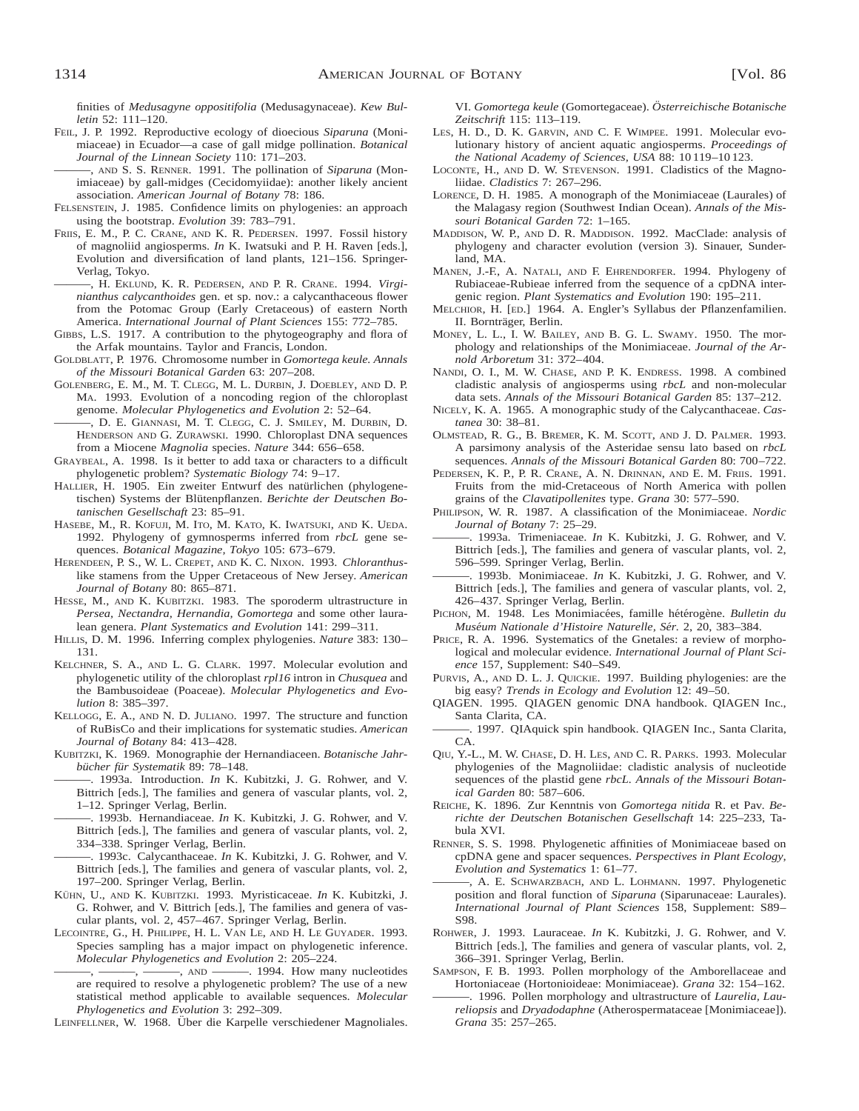finities of *Medusagyne oppositifolia* (Medusagynaceae). *Kew Bulletin* 52: 111–120.

- FEIL, J. P. 1992. Reproductive ecology of dioecious *Siparuna* (Monimiaceae) in Ecuador—a case of gall midge pollination. *Botanical Journal of the Linnean Society* 110: 171–203.
- ———, AND S. S. RENNER. 1991. The pollination of *Siparuna* (Monimiaceae) by gall-midges (Cecidomyiidae): another likely ancient association. *American Journal of Botany* 78: 186.
- FELSENSTEIN, J. 1985. Confidence limits on phylogenies: an approach using the bootstrap. *Evolution* 39: 783–791.
- FRIIS, E. M., P. C. CRANE, AND K. R. PEDERSEN. 1997. Fossil history of magnoliid angiosperms. *In* K. Iwatsuki and P. H. Raven [eds.], Evolution and diversification of land plants, 121–156. Springer-Verlag, Tokyo.
- ———, H. EKLUND, K. R. PEDERSEN, AND P. R. CRANE. 1994. *Virginianthus calycanthoides* gen. et sp. nov.: a calycanthaceous flower from the Potomac Group (Early Cretaceous) of eastern North America. *International Journal of Plant Sciences* 155: 772–785.
- GIBBS, L.S. 1917. A contribution to the phytogeography and flora of the Arfak mountains. Taylor and Francis, London.
- GOLDBLATT, P. 1976. Chromosome number in *Gomortega keule. Annals of the Missouri Botanical Garden* 63: 207–208.
- GOLENBERG, E. M., M. T. CLEGG, M. L. DURBIN, J. DOEBLEY, AND D. P. MA. 1993. Evolution of a noncoding region of the chloroplast genome. *Molecular Phylogenetics and Evolution* 2: 52–64.
- ———, D. E. GIANNASI, M. T. CLEGG, C. J. SMILEY, M. DURBIN, D. HENDERSON AND G. ZURAWSKI. 1990. Chloroplast DNA sequences from a Miocene *Magnolia* species. *Nature* 344: 656–658.
- GRAYBEAL, A. 1998. Is it better to add taxa or characters to a difficult phylogenetic problem? *Systematic Biology* 74: 9–17.
- HALLIER, H. 1905. Ein zweiter Entwurf des natürlichen (phylogenetischen) Systems der Blütenpflanzen. Berichte der Deutschen Bo*tanischen Gesellschaft* 23: 85–91.
- HASEBE, M., R. KOFUJI, M. ITO, M. KATO, K. IWATSUKI, AND K. UEDA. 1992. Phylogeny of gymnosperms inferred from *rbcL* gene sequences. *Botanical Magazine, Tokyo* 105: 673–679.
- HERENDEEN, P. S., W. L. CREPET, AND K. C. NIXON. 1993. *Chloranthus*like stamens from the Upper Cretaceous of New Jersey. *American Journal of Botany* 80: 865–871.
- HESSE, M., AND K. KUBITZKI. 1983. The sporoderm ultrastructure in *Persea, Nectandra, Hernandia, Gomortega* and some other lauralean genera. *Plant Systematics and Evolution* 141: 299–311.
- HILLIS, D. M. 1996. Inferring complex phylogenies. *Nature* 383: 130– 131.
- KELCHNER, S. A., AND L. G. CLARK. 1997. Molecular evolution and phylogenetic utility of the chloroplast *rpl16* intron in *Chusquea* and the Bambusoideae (Poaceae). *Molecular Phylogenetics and Evolution* 8: 385–397.
- KELLOGG, E. A., AND N. D. JULIANO. 1997. The structure and function of RuBisCo and their implications for systematic studies. *American Journal of Botany* 84: 413–428.
- KUBITZKI, K. 1969. Monographie der Hernandiaceen. *Botanische Jahrbu¨cher fu¨r Systematik* 89: 78–148.
- ———. 1993a. Introduction. *In* K. Kubitzki, J. G. Rohwer, and V. Bittrich [eds.], The families and genera of vascular plants, vol. 2, 1–12. Springer Verlag, Berlin.
- ———. 1993b. Hernandiaceae. *In* K. Kubitzki, J. G. Rohwer, and V. Bittrich [eds.], The families and genera of vascular plants, vol. 2, 334–338. Springer Verlag, Berlin.
- ———. 1993c. Calycanthaceae. *In* K. Kubitzki, J. G. Rohwer, and V. Bittrich [eds.], The families and genera of vascular plants, vol. 2, 197–200. Springer Verlag, Berlin.
- KÜHN, U., AND K. KUBITZKI. 1993. Myristicaceae. In K. Kubitzki, J. G. Rohwer, and V. Bittrich [eds.], The families and genera of vascular plants, vol. 2, 457–467. Springer Verlag, Berlin.
- LECOINTRE, G., H. PHILIPPE, H. L. VAN LE, AND H. LE GUYADER. 1993. Species sampling has a major impact on phylogenetic inference. *Molecular Phylogenetics and Evolution* 2: 205–224.
	- -, AND ———, 1994. How many nucleotides are required to resolve a phylogenetic problem? The use of a new statistical method applicable to available sequences. *Molecular Phylogenetics and Evolution* 3: 292–309.

LEINFELLNER, W. 1968. Über die Karpelle verschiedener Magnoliales.

VI. *Gomortega keule* (Gomortegaceae). *O¨sterreichische Botanische Zeitschrift* 115: 113–119.

- LES, H. D., D. K. GARVIN, AND C. F. WIMPEE. 1991. Molecular evolutionary history of ancient aquatic angiosperms. *Proceedings of the National Academy of Sciences, USA* 88: 10 119–10 123.
- LOCONTE, H., AND D. W. STEVENSON. 1991. Cladistics of the Magnoliidae. *Cladistics* 7: 267–296.
- LORENCE, D. H. 1985. A monograph of the Monimiaceae (Laurales) of the Malagasy region (Southwest Indian Ocean). *Annals of the Missouri Botanical Garden* 72: 1–165.
- MADDISON, W. P., AND D. R. MADDISON. 1992. MacClade: analysis of phylogeny and character evolution (version 3). Sinauer, Sunderland, MA.
- MANEN, J.-F., A. NATALI, AND F. EHRENDORFER. 1994. Phylogeny of Rubiaceae-Rubieae inferred from the sequence of a cpDNA intergenic region. *Plant Systematics and Evolution* 190: 195–211.
- MELCHIOR, H. [ED.] 1964. A. Engler's Syllabus der Pflanzenfamilien. II. Bornträger, Berlin.
- MONEY, L. L., I. W. BAILEY, AND B. G. L. SWAMY. 1950. The morphology and relationships of the Monimiaceae. *Journal of the Arnold Arboretum* 31: 372–404.
- NANDI, O. I., M. W. CHASE, AND P. K. ENDRESS. 1998. A combined cladistic analysis of angiosperms using *rbcL* and non-molecular data sets. *Annals of the Missouri Botanical Garden* 85: 137–212.
- NICELY, K. A. 1965. A monographic study of the Calycanthaceae. *Castanea* 30: 38–81.
- OLMSTEAD, R. G., B. BREMER, K. M. SCOTT, AND J. D. PALMER. 1993. A parsimony analysis of the Asteridae sensu lato based on *rbcL* sequences. *Annals of the Missouri Botanical Garden* 80: 700–722.
- PEDERSEN, K. P., P. R. CRANE, A. N. DRINNAN, AND E. M. FRIIS. 1991. Fruits from the mid-Cretaceous of North America with pollen grains of the *Clavatipollenites* type. *Grana* 30: 577–590.
- PHILIPSON, W. R. 1987. A classification of the Monimiaceae. *Nordic Journal of Botany* 7: 25–29.
- ———. 1993a. Trimeniaceae. *In* K. Kubitzki, J. G. Rohwer, and V. Bittrich [eds.], The families and genera of vascular plants, vol. 2, 596–599. Springer Verlag, Berlin.
- ———. 1993b. Monimiaceae. *In* K. Kubitzki, J. G. Rohwer, and V. Bittrich [eds.], The families and genera of vascular plants, vol. 2, 426–437. Springer Verlag, Berlin.
- PICHON, M. 1948. Les Monimiacées, famille hétérogène. *Bulletin du Muse´um Nationale d'Histoire Naturelle, Se´r.* 2, 20, 383–384.
- PRICE, R. A. 1996. Systematics of the Gnetales: a review of morphological and molecular evidence. *International Journal of Plant Science* 157, Supplement: S40–S49.
- PURVIS, A., AND D. L. J. QUICKIE. 1997. Building phylogenies: are the big easy? *Trends in Ecology and Evolution* 12: 49–50.
- QIAGEN. 1995. QIAGEN genomic DNA handbook. QIAGEN Inc., Santa Clarita, CA.
- ———. 1997. QIAquick spin handbook. QIAGEN Inc., Santa Clarita, CA.
- QIU, Y.-L., M. W. CHASE, D. H. LES, AND C. R. PARKS. 1993. Molecular phylogenies of the Magnoliidae: cladistic analysis of nucleotide sequences of the plastid gene *rbcL. Annals of the Missouri Botanical Garden* 80: 587–606.
- REICHE, K. 1896. Zur Kenntnis von *Gomortega nitida* R. et Pav. *Berichte der Deutschen Botanischen Gesellschaft* 14: 225–233, Tabula XVI.
- RENNER, S. S. 1998. Phylogenetic affinities of Monimiaceae based on cpDNA gene and spacer sequences. *Perspectives in Plant Ecology, Evolution and Systematics* 1: 61–77.
- ———, A. E. SCHWARZBACH, AND L. LOHMANN. 1997. Phylogenetic position and floral function of *Siparuna* (Siparunaceae: Laurales). *International Journal of Plant Sciences* 158, Supplement: S89– S98.
- ROHWER, J. 1993. Lauraceae. *In* K. Kubitzki, J. G. Rohwer, and V. Bittrich [eds.], The families and genera of vascular plants, vol. 2, 366–391. Springer Verlag, Berlin.
- SAMPSON, F. B. 1993. Pollen morphology of the Amborellaceae and Hortoniaceae (Hortonioideae: Monimiaceae). *Grana* 32: 154–162.
- -. 1996. Pollen morphology and ultrastructure of *Laurelia*, Lau*reliopsis* and *Dryadodaphne* (Atherospermataceae [Monimiaceae]). *Grana* 35: 257–265.